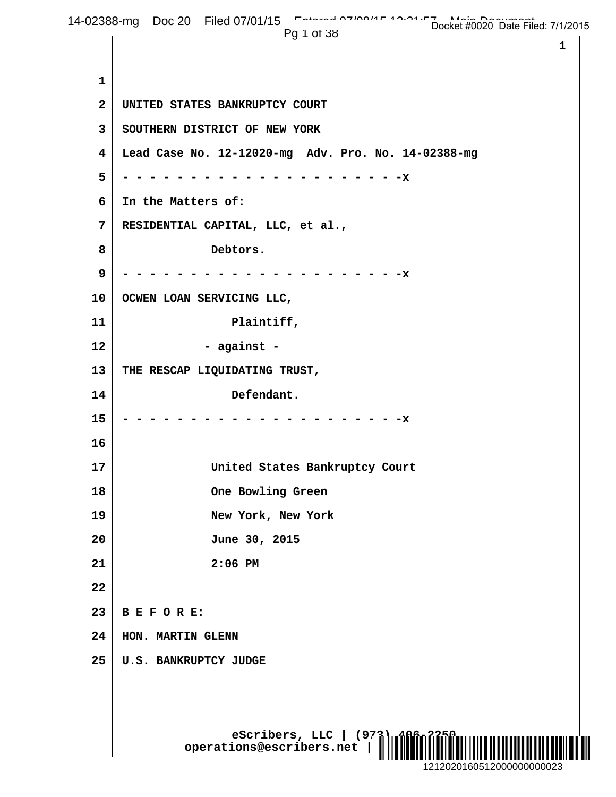**eScribers, LLC** | (973) **operations@escribers.net | www.escribers.net 1 1 2 UNITED STATES BANKRUPTCY COURT 3 SOUTHERN DISTRICT OF NEW YORK 4 Lead Case No. 12-12020-mg Adv. Pro. No. 14-02388-mg 5 - - - - - - - - - - - - - - - - - - - - -x 6 In the Matters of: 7 RESIDENTIAL CAPITAL, LLC, et al., 8 Debtors. 9 - - - - - - - - - - - - - - - - - - - - -x 10 OCWEN LOAN SERVICING LLC,** 11 Plaintiff, **12 - against - 13 THE RESCAP LIQUIDATING TRUST, 14 Defendant. 15 - - - - - - - - - - - - - - - - - - - - -x 16 17 United States Bankruptcy Court 18 One Bowling Green 19 New York, New York 20 June 30, 2015 21 2:06 PM 22 23 B E F O R E: 24 HON. MARTIN GLENN 25 U.S. BANKRUPTCY JUDGE** 14-02388-mg Doc 20 Filed 07/01/15 Entered 07/04/15 Docket #0020 Date Filed: 7/1/2015 Pg 1 of 38 ¨1¤5440%, 7p« 1212020160512000000000023 Docket #0020 Date Filed: 7/1/2015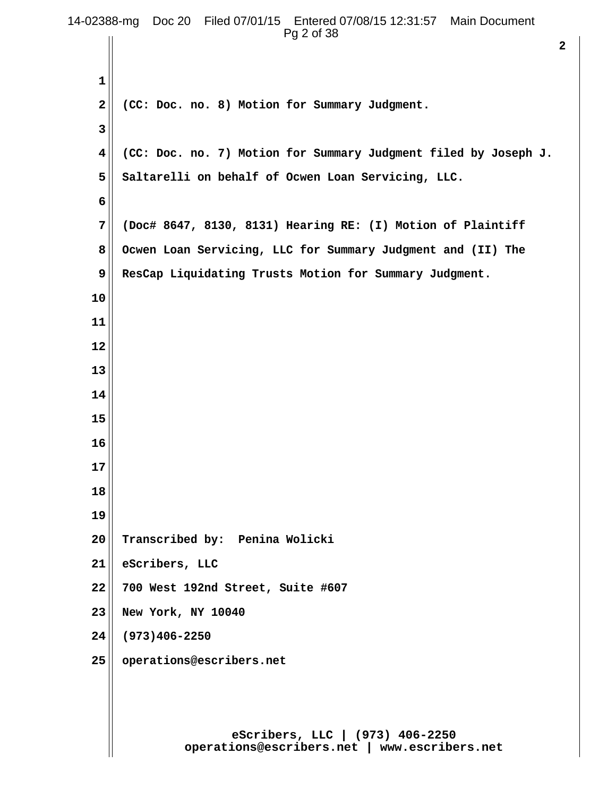| 14-02388-mg Doc 20 Filed 07/01/15 Entered 07/08/15 12:31:57 Main Document<br>Pg 2 of 38 |                                                                                 |
|-----------------------------------------------------------------------------------------|---------------------------------------------------------------------------------|
|                                                                                         | $\overline{\mathbf{2}}$                                                         |
| 1                                                                                       |                                                                                 |
| 2                                                                                       | (CC: Doc. no. 8) Motion for Summary Judgment.                                   |
| 3                                                                                       |                                                                                 |
| 4                                                                                       | (CC: Doc. no. 7) Motion for Summary Judgment filed by Joseph J.                 |
| 5                                                                                       | Saltarelli on behalf of Ocwen Loan Servicing, LLC.                              |
| 6                                                                                       |                                                                                 |
| 7                                                                                       | (Doc# 8647, 8130, 8131) Hearing RE: (I) Motion of Plaintiff                     |
| 8                                                                                       | Ocwen Loan Servicing, LLC for Summary Judgment and (II) The                     |
| 9                                                                                       | ResCap Liquidating Trusts Motion for Summary Judgment.                          |
| 10                                                                                      |                                                                                 |
| 11                                                                                      |                                                                                 |
| 12                                                                                      |                                                                                 |
| 13                                                                                      |                                                                                 |
| 14                                                                                      |                                                                                 |
| 15                                                                                      |                                                                                 |
| 16                                                                                      |                                                                                 |
| 17                                                                                      |                                                                                 |
| 18                                                                                      |                                                                                 |
| 19                                                                                      |                                                                                 |
| 20                                                                                      | Transcribed by: Penina Wolicki                                                  |
| 21                                                                                      | eScribers, LLC                                                                  |
| 22                                                                                      | 700 West 192nd Street, Suite #607                                               |
| 23                                                                                      | New York, NY 10040                                                              |
| 24                                                                                      | $(973)406 - 2250$                                                               |
| 25                                                                                      | operations@escribers.net                                                        |
|                                                                                         |                                                                                 |
|                                                                                         |                                                                                 |
|                                                                                         | eScribers, LLC   (973) 406-2250<br>operations@escribers.net   www.escribers.net |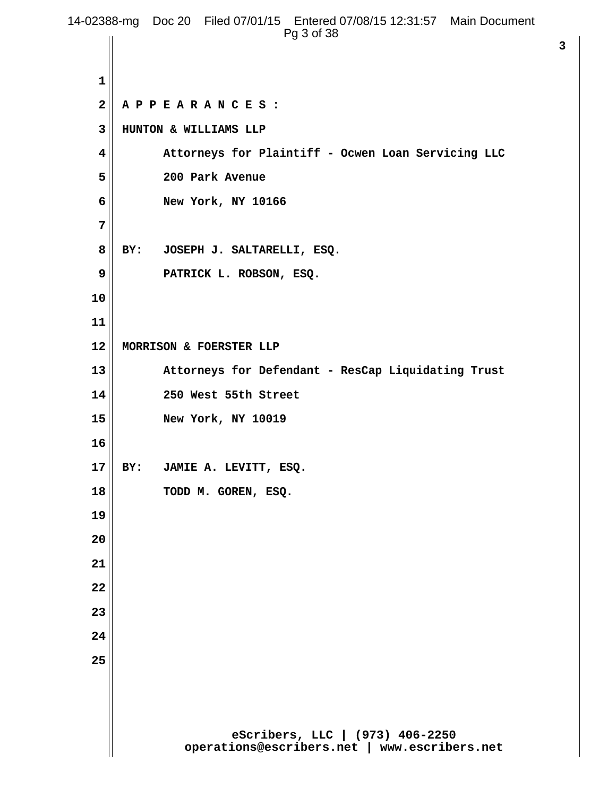|              | 14-02388-mg Doc 20 Filed 07/01/15 Entered 07/08/15 12:31:57 Main Document<br>Pg 3 of 38 |
|--------------|-----------------------------------------------------------------------------------------|
|              |                                                                                         |
| $\mathbf 1$  |                                                                                         |
| $\mathbf{2}$ | APPEARANCES:                                                                            |
| 3            | HUNTON & WILLIAMS LLP                                                                   |
| 4            | Attorneys for Plaintiff - Ocwen Loan Servicing LLC                                      |
| 5            | 200 Park Avenue                                                                         |
| 6            | New York, NY 10166                                                                      |
| 7            |                                                                                         |
| 8            | BY:<br>JOSEPH J. SALTARELLI, ESQ.                                                       |
| 9            | PATRICK L. ROBSON, ESQ.                                                                 |
| 10           |                                                                                         |
| 11           |                                                                                         |
| 12           | MORRISON & FOERSTER LLP                                                                 |
| 13           | Attorneys for Defendant - ResCap Liquidating Trust                                      |
| 14           | 250 West 55th Street                                                                    |
| 15           | New York, NY 10019                                                                      |
| 16           |                                                                                         |
| 17           | JAMIE A. LEVITT, ESQ.<br>BY:                                                            |
| 18           | TODD M. GOREN, ESQ.                                                                     |
| 19           |                                                                                         |
| 20           |                                                                                         |
| 21           |                                                                                         |
| 22           |                                                                                         |
| 23           |                                                                                         |
| 24           |                                                                                         |
| 25           |                                                                                         |
|              |                                                                                         |
|              |                                                                                         |
|              | eScribers, LLC   (973) 406-2250<br>operations@escribers.net   www.escribers.net         |

**3**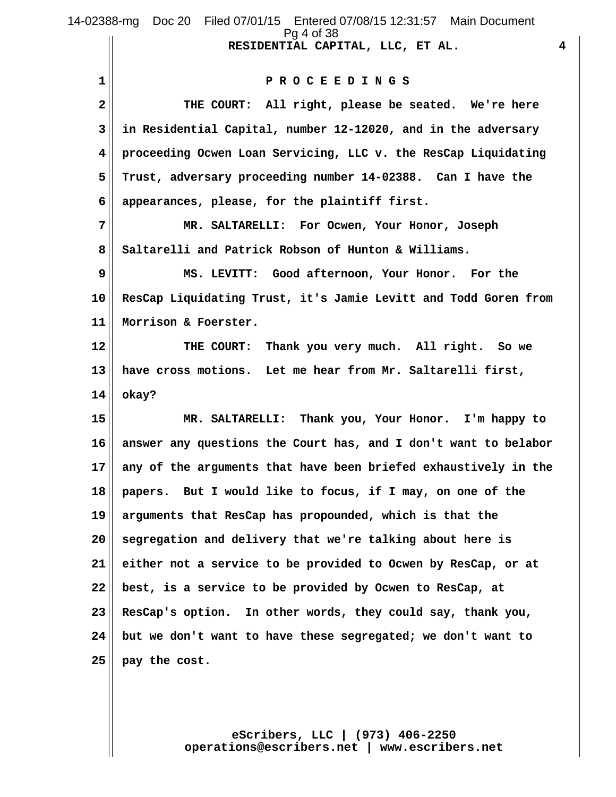|             | 14-02388-mg Doc 20 Filed 07/01/15 Entered 07/08/15 12:31:57 Main Document<br>Pg 4 of 38 |
|-------------|-----------------------------------------------------------------------------------------|
|             | $\overline{4}$<br>RESIDENTIAL CAPITAL, LLC, ET AL.                                      |
| 1           | PROCEEDINGS                                                                             |
| $\mathbf 2$ | THE COURT: All right, please be seated. We're here                                      |
| 3           | in Residential Capital, number 12-12020, and in the adversary                           |
| 4           | proceeding Ocwen Loan Servicing, LLC v. the ResCap Liquidating                          |
| 5           | Trust, adversary proceeding number 14-02388. Can I have the                             |
| 6           | appearances, please, for the plaintiff first.                                           |
| 7           | MR. SALTARELLI: For Ocwen, Your Honor, Joseph                                           |
| 8           | Saltarelli and Patrick Robson of Hunton & Williams.                                     |
| 9           | MS. LEVITT: Good afternoon, Your Honor. For the                                         |
| 10          | ResCap Liquidating Trust, it's Jamie Levitt and Todd Goren from                         |
| 11          | Morrison & Foerster.                                                                    |
| 12          | THE COURT: Thank you very much. All right. So we                                        |
| 13          | have cross motions. Let me hear from Mr. Saltarelli first,                              |
| 14          | okay?                                                                                   |
| 15          | MR. SALTARELLI: Thank you, Your Honor. I'm happy to                                     |
| 16          | answer any questions the Court has, and I don't want to belabor                         |
| 17          | any of the arguments that have been briefed exhaustively in the                         |
| 18          | papers. But I would like to focus, if I may, on one of the                              |
| 19          | arguments that ResCap has propounded, which is that the                                 |
| 20          | segregation and delivery that we're talking about here is                               |
| 21          | either not a service to be provided to Ocwen by ResCap, or at                           |
| 22          | best, is a service to be provided by Ocwen to ResCap, at                                |
| 23          | ResCap's option. In other words, they could say, thank you,                             |
| 24          | but we don't want to have these segregated; we don't want to                            |
| 25          | pay the cost.                                                                           |
|             |                                                                                         |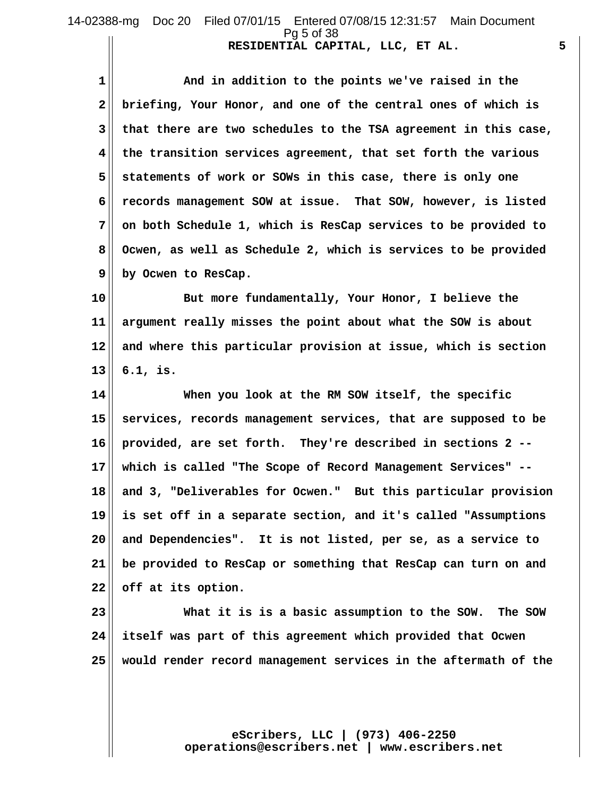# 14-02388-mg Doc 20 Filed 07/01/15 Entered 07/08/15 12:31:57 Main Document Pg 5 of 38

**RESIDENTIAL CAPITAL, LLC, ET AL. 5**

 **1 And in addition to the points we've raised in the 2 briefing, Your Honor, and one of the central ones of which is 3 that there are two schedules to the TSA agreement in this case, 4 the transition services agreement, that set forth the various 5 statements of work or SOWs in this case, there is only one 6 records management SOW at issue. That SOW, however, is listed 7 on both Schedule 1, which is ResCap services to be provided to 8 Ocwen, as well as Schedule 2, which is services to be provided 9 by Ocwen to ResCap.**

**10 But more fundamentally, Your Honor, I believe the 11 argument really misses the point about what the SOW is about 12 and where this particular provision at issue, which is section 13 6.1, is.**

**14 When you look at the RM SOW itself, the specific 15 services, records management services, that are supposed to be 16 provided, are set forth. They're described in sections 2 -- 17 which is called "The Scope of Record Management Services" -- 18 and 3, "Deliverables for Ocwen." But this particular provision 19 is set off in a separate section, and it's called "Assumptions 20 and Dependencies". It is not listed, per se, as a service to 21 be provided to ResCap or something that ResCap can turn on and 22 off at its option.**

**23 What it is is a basic assumption to the SOW. The SOW 24 itself was part of this agreement which provided that Ocwen 25 would render record management services in the aftermath of the**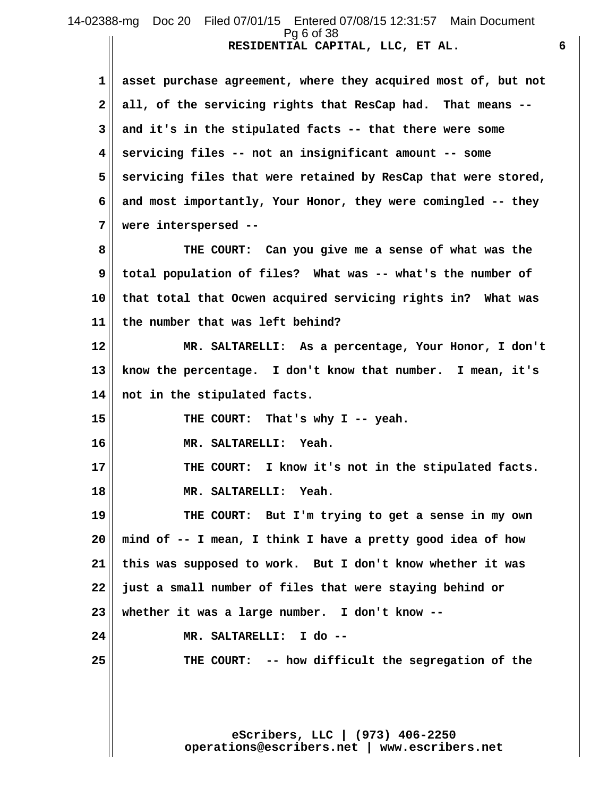### **RESIDENTIAL CAPITAL, LLC, ET AL. 6** 14-02388-mg Doc 20 Filed 07/01/15 Entered 07/08/15 12:31:57 Main Document Pg 6 of 38

 **1 asset purchase agreement, where they acquired most of, but not 2 all, of the servicing rights that ResCap had. That means -- 3 and it's in the stipulated facts -- that there were some 4 servicing files -- not an insignificant amount -- some 5 servicing files that were retained by ResCap that were stored, 6 and most importantly, Your Honor, they were comingled -- they 7 were interspersed --**

 **8 THE COURT: Can you give me a sense of what was the 9 total population of files? What was -- what's the number of 10 that total that Ocwen acquired servicing rights in? What was 11 the number that was left behind?**

**12 MR. SALTARELLI: As a percentage, Your Honor, I don't 13 know the percentage. I don't know that number. I mean, it's 14 not in the stipulated facts.**

**15 THE COURT: That's why I -- yeah.**

**16 MR. SALTARELLI: Yeah.**

**17 THE COURT: I know it's not in the stipulated facts. 18 MR. SALTARELLI: Yeah.**

**19 THE COURT: But I'm trying to get a sense in my own 20 mind of -- I mean, I think I have a pretty good idea of how 21 this was supposed to work. But I don't know whether it was 22 just a small number of files that were staying behind or 23 whether it was a large number. I don't know -- 24 MR. SALTARELLI: I do --**

**25 THE COURT: -- how difficult the segregation of the**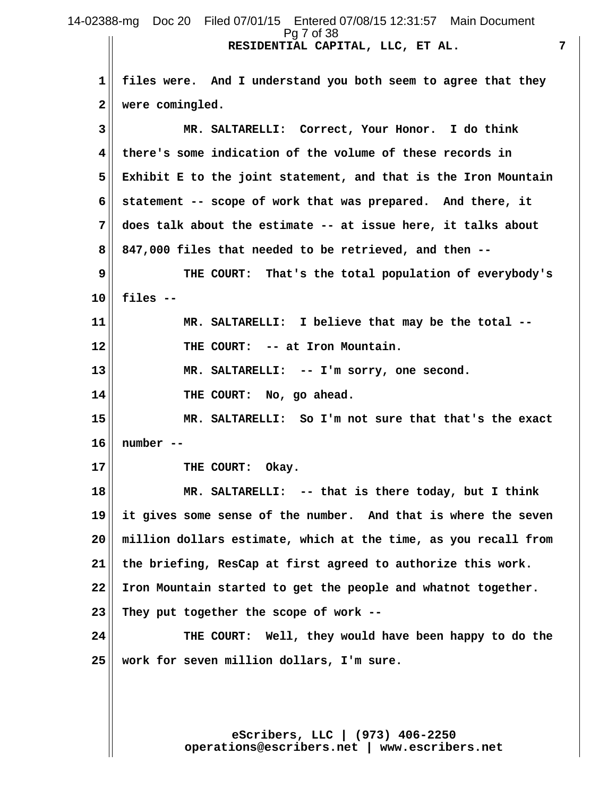**RESIDENTIAL CAPITAL, LLC, ET AL. 7** 14-02388-mg Doc 20 Filed 07/01/15 Entered 07/08/15 12:31:57 Main Document Pg 7 of 38

 **1 files were. And I understand you both seem to agree that they 2 were comingled. 3 MR. SALTARELLI: Correct, Your Honor. I do think 4 there's some indication of the volume of these records in 5 Exhibit E to the joint statement, and that is the Iron Mountain 6 statement -- scope of work that was prepared. And there, it 7 does talk about the estimate -- at issue here, it talks about 8 847,000 files that needed to be retrieved, and then -- 9 THE COURT: That's the total population of everybody's 10 files -- 11 MR. SALTARELLI: I believe that may be the total -- 12 THE COURT: -- at Iron Mountain. 13 MR. SALTARELLI: -- I'm sorry, one second. 14 THE COURT: No, go ahead. 15 MR. SALTARELLI: So I'm not sure that that's the exact 16 number --** 17 **THE COURT: Okay. 18 MR. SALTARELLI: -- that is there today, but I think 19 it gives some sense of the number. And that is where the seven 20 million dollars estimate, which at the time, as you recall from 21 the briefing, ResCap at first agreed to authorize this work. 22 Iron Mountain started to get the people and whatnot together. 23 They put together the scope of work -- 24 THE COURT: Well, they would have been happy to do the 25 work for seven million dollars, I'm sure.**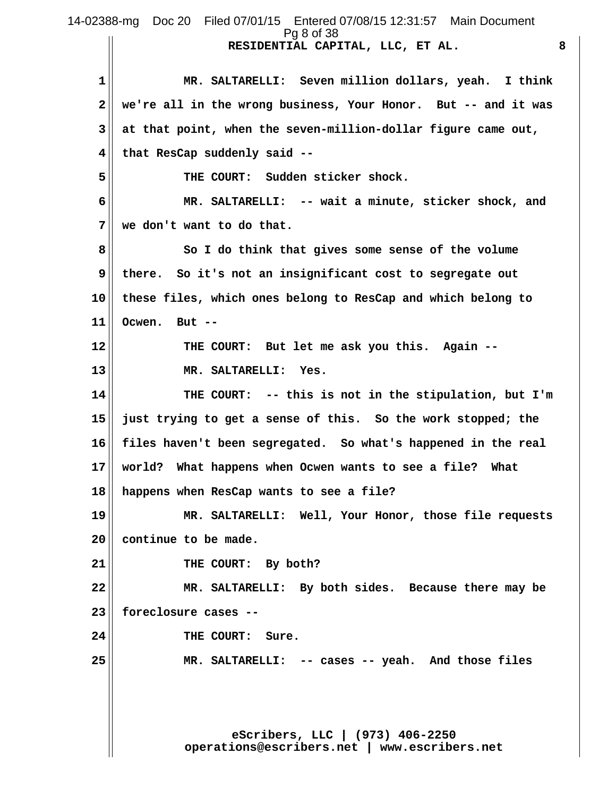**eScribers, LLC | (973) 406-2250 operations@escribers.net | www.escribers.net RESIDENTIAL CAPITAL, LLC, ET AL. 8 1 MR. SALTARELLI: Seven million dollars, yeah. I think 2 we're all in the wrong business, Your Honor. But -- and it was 3 at that point, when the seven-million-dollar figure came out, 4 that ResCap suddenly said --** 5<sup> $\vert$ </sup> THE COURT: Sudden sticker shock.  **6 MR. SALTARELLI: -- wait a minute, sticker shock, and 7 we don't want to do that. 8 So I do think that gives some sense of the volume 9 there. So it's not an insignificant cost to segregate out 10 these files, which ones belong to ResCap and which belong to 11 Ocwen. But -- 12 THE COURT: But let me ask you this. Again -- 13 MR. SALTARELLI: Yes. 14 THE COURT: -- this is not in the stipulation, but I'm 15 just trying to get a sense of this. So the work stopped; the 16 files haven't been segregated. So what's happened in the real 17 world? What happens when Ocwen wants to see a file? What 18 happens when ResCap wants to see a file? 19 MR. SALTARELLI: Well, Your Honor, those file requests 20 continue to be made.** 21 **THE COURT:** By both? **22 MR. SALTARELLI: By both sides. Because there may be 23 foreclosure cases -- 24 THE COURT: Sure. 25 MR. SALTARELLI: -- cases -- yeah. And those files** 14-02388-mg Doc 20 Filed 07/01/15 Entered 07/08/15 12:31:57 Main Document Pg 8 of 38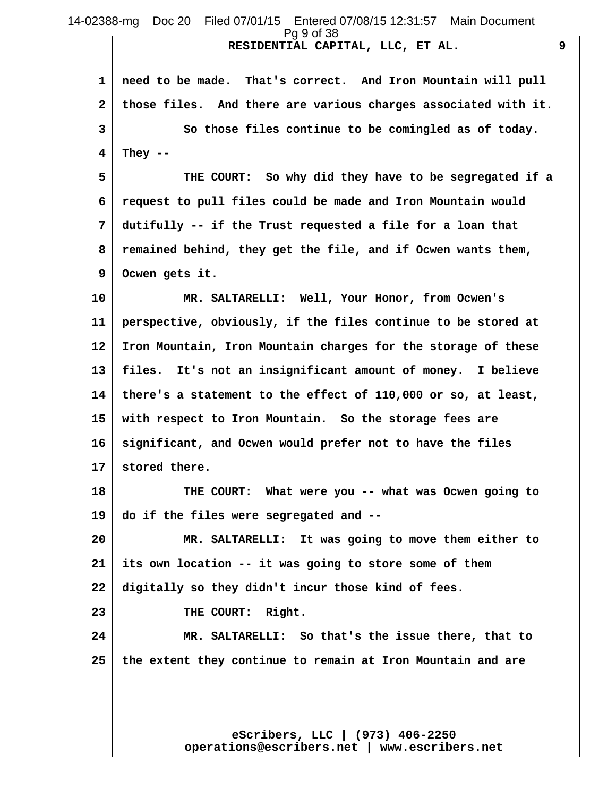**RESIDENTIAL CAPITAL, LLC, ET AL. 9** 14-02388-mg Doc 20 Filed 07/01/15 Entered 07/08/15 12:31:57 Main Document Pg 9 of 38

 **1 need to be made. That's correct. And Iron Mountain will pull 2 those files. And there are various charges associated with it. 3 So those files continue to be comingled as of today. 4 They --**

 **5 THE COURT: So why did they have to be segregated if a 6 request to pull files could be made and Iron Mountain would 7 dutifully -- if the Trust requested a file for a loan that 8 remained behind, they get the file, and if Ocwen wants them, 9 Ocwen gets it.**

**10 MR. SALTARELLI: Well, Your Honor, from Ocwen's 11 perspective, obviously, if the files continue to be stored at 12 Iron Mountain, Iron Mountain charges for the storage of these 13 files. It's not an insignificant amount of money. I believe 14 there's a statement to the effect of 110,000 or so, at least, 15 with respect to Iron Mountain. So the storage fees are 16 significant, and Ocwen would prefer not to have the files 17 stored there.**

**18 THE COURT: What were you -- what was Ocwen going to 19 do if the files were segregated and --**

**20 MR. SALTARELLI: It was going to move them either to 21 its own location -- it was going to store some of them 22 digitally so they didn't incur those kind of fees.**

**23 THE COURT: Right.**

**24 MR. SALTARELLI: So that's the issue there, that to 25 the extent they continue to remain at Iron Mountain and are**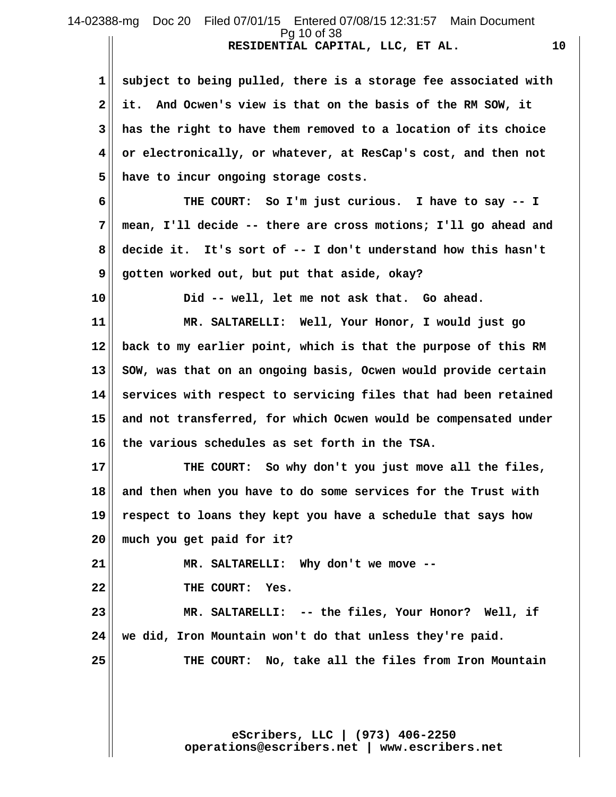### **RESIDENTIAL CAPITAL, LLC, ET AL. 10** 14-02388-mg Doc 20 Filed 07/01/15 Entered 07/08/15 12:31:57 Main Document Pg 10 of 38

 **1 subject to being pulled, there is a storage fee associated with 2 it. And Ocwen's view is that on the basis of the RM SOW, it 3 has the right to have them removed to a location of its choice 4 or electronically, or whatever, at ResCap's cost, and then not 5 have to incur ongoing storage costs.**

 **6 THE COURT: So I'm just curious. I have to say -- I 7 mean, I'll decide -- there are cross motions; I'll go ahead and 8 decide it. It's sort of -- I don't understand how this hasn't 9 gotten worked out, but put that aside, okay?**

**10 Did -- well, let me not ask that. Go ahead.**

**11 MR. SALTARELLI: Well, Your Honor, I would just go 12 back to my earlier point, which is that the purpose of this RM 13 SOW, was that on an ongoing basis, Ocwen would provide certain 14 services with respect to servicing files that had been retained 15 and not transferred, for which Ocwen would be compensated under 16 the various schedules as set forth in the TSA.**

**17 THE COURT: So why don't you just move all the files, 18 and then when you have to do some services for the Trust with 19 respect to loans they kept you have a schedule that says how 20 much you get paid for it?**

**21 MR. SALTARELLI: Why don't we move -- 22 THE COURT: Yes.**

**23 MR. SALTARELLI: -- the files, Your Honor? Well, if 24 we did, Iron Mountain won't do that unless they're paid.**

**25 THE COURT: No, take all the files from Iron Mountain**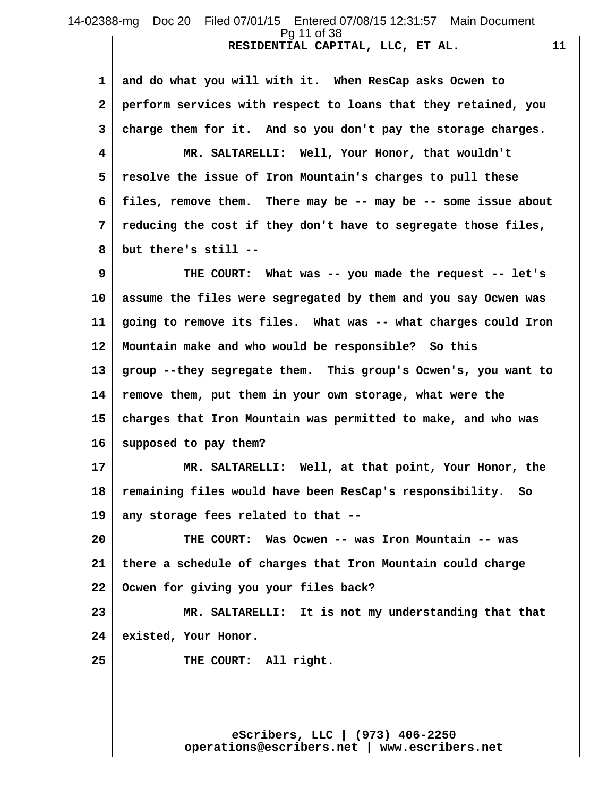### **RESIDENTIAL CAPITAL, LLC, ET AL. 11** 14-02388-mg Doc 20 Filed 07/01/15 Entered 07/08/15 12:31:57 Main Document Pg 11 of 38

 **1 and do what you will with it. When ResCap asks Ocwen to 2 perform services with respect to loans that they retained, you 3 charge them for it. And so you don't pay the storage charges. 4 MR. SALTARELLI: Well, Your Honor, that wouldn't 5 resolve the issue of Iron Mountain's charges to pull these 6 files, remove them. There may be -- may be -- some issue about 7 reducing the cost if they don't have to segregate those files, 8 but there's still --**

 **9 THE COURT: What was -- you made the request -- let's 10 assume the files were segregated by them and you say Ocwen was 11 going to remove its files. What was -- what charges could Iron 12 Mountain make and who would be responsible? So this 13 group --they segregate them. This group's Ocwen's, you want to 14 remove them, put them in your own storage, what were the 15 charges that Iron Mountain was permitted to make, and who was 16 supposed to pay them?**

**17 MR. SALTARELLI: Well, at that point, Your Honor, the 18 remaining files would have been ResCap's responsibility. So 19 any storage fees related to that --**

**20 THE COURT: Was Ocwen -- was Iron Mountain -- was 21 there a schedule of charges that Iron Mountain could charge 22 Ocwen for giving you your files back?**

**23 MR. SALTARELLI: It is not my understanding that that 24 existed, Your Honor.**

**25 THE COURT: All right.**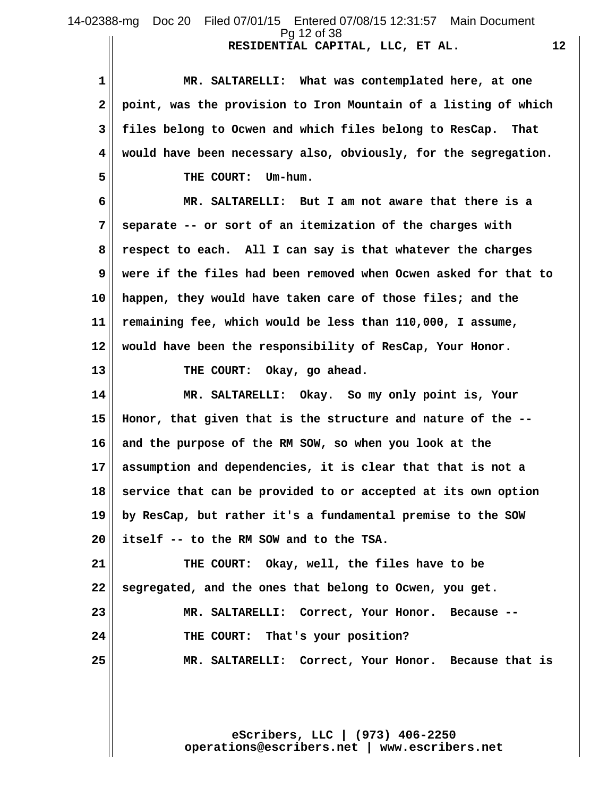14-02388-mg Doc 20 Filed 07/01/15 Entered 07/08/15 12:31:57 Main Document Pg 12 of 38

**RESIDENTIAL CAPITAL, LLC, ET AL. 12**

 **1 MR. SALTARELLI: What was contemplated here, at one 2 point, was the provision to Iron Mountain of a listing of which 3 files belong to Ocwen and which files belong to ResCap. That 4 would have been necessary also, obviously, for the segregation. 5 THE COURT: Um-hum. 6 MR. SALTARELLI: But I am not aware that there is a 7 separate -- or sort of an itemization of the charges with**

 **8 respect to each. All I can say is that whatever the charges 9 were if the files had been removed when Ocwen asked for that to 10 happen, they would have taken care of those files; and the 11 remaining fee, which would be less than 110,000, I assume, 12 would have been the responsibility of ResCap, Your Honor.**

**13 THE COURT: Okay, go ahead.**

**14 MR. SALTARELLI: Okay. So my only point is, Your 15 Honor, that given that is the structure and nature of the -- 16 and the purpose of the RM SOW, so when you look at the 17 assumption and dependencies, it is clear that that is not a 18 service that can be provided to or accepted at its own option 19 by ResCap, but rather it's a fundamental premise to the SOW 20 itself -- to the RM SOW and to the TSA.**

**21 THE COURT: Okay, well, the files have to be 22 segregated, and the ones that belong to Ocwen, you get. 23 MR. SALTARELLI: Correct, Your Honor. Because -- 24 THE COURT: That's your position? 25 MR. SALTARELLI: Correct, Your Honor. Because that is**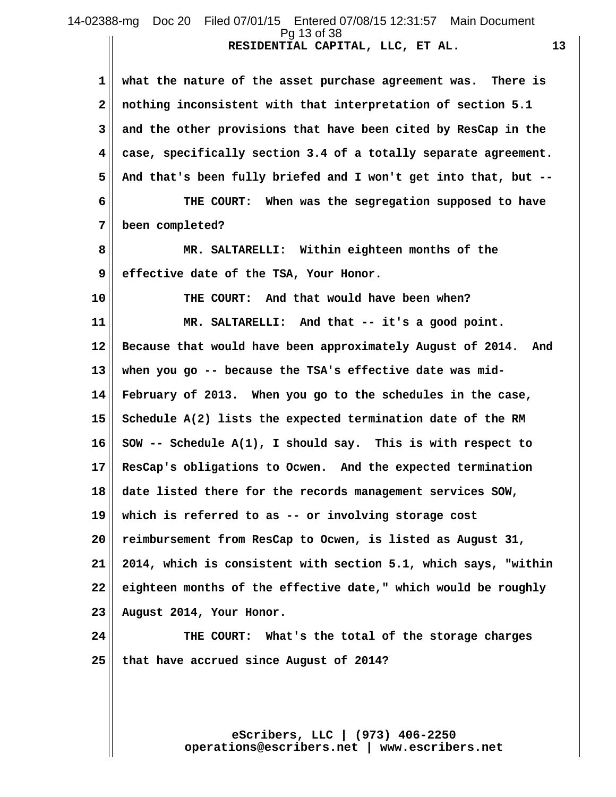## **RESIDENTIAL CAPITAL, LLC, ET AL. 13** 14-02388-mg Doc 20 Filed 07/01/15 Entered 07/08/15 12:31:57 Main Document Pg 13 of 38

 **1 what the nature of the asset purchase agreement was. There is 2 nothing inconsistent with that interpretation of section 5.1 3 and the other provisions that have been cited by ResCap in the 4 case, specifically section 3.4 of a totally separate agreement. 5 And that's been fully briefed and I won't get into that, but -- 6 THE COURT: When was the segregation supposed to have 7 been completed? 8 MR. SALTARELLI: Within eighteen months of the 9 effective date of the TSA, Your Honor. 10 THE COURT: And that would have been when? 11 MR. SALTARELLI: And that -- it's a good point. 12 Because that would have been approximately August of 2014. And 13 when you go -- because the TSA's effective date was mid-14 February of 2013. When you go to the schedules in the case, 15 Schedule A(2) lists the expected termination date of the RM 16 SOW -- Schedule A(1), I should say. This is with respect to 17 ResCap's obligations to Ocwen. And the expected termination 18 date listed there for the records management services SOW, 19 which is referred to as -- or involving storage cost 20 reimbursement from ResCap to Ocwen, is listed as August 31, 21 2014, which is consistent with section 5.1, which says, "within 22 eighteen months of the effective date," which would be roughly 23 August 2014, Your Honor.**

**24 THE COURT: What's the total of the storage charges 25 that have accrued since August of 2014?**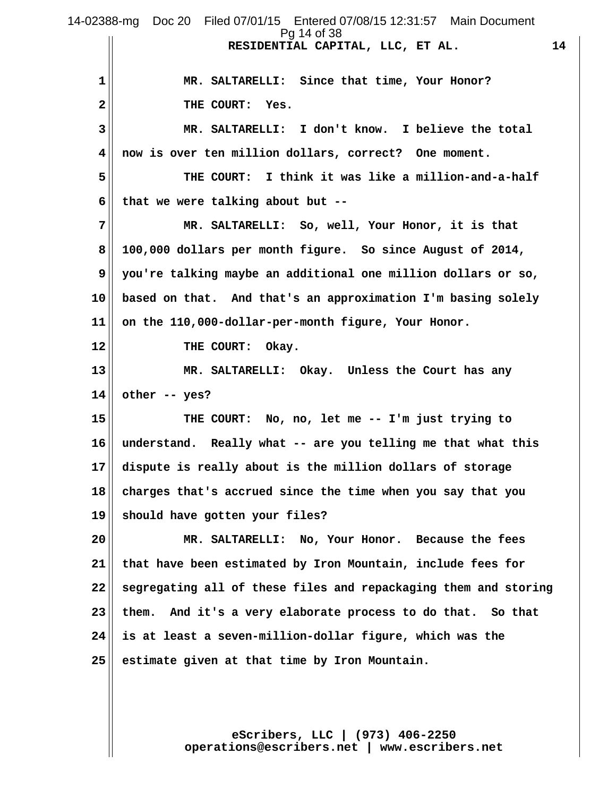|    | 14-02388-mg Doc 20 Filed 07/01/15 Entered 07/08/15 12:31:57 Main Document<br>Pg 14 of 38 |
|----|------------------------------------------------------------------------------------------|
|    | RESIDENTIAL CAPITAL, LLC, ET AL.<br>14                                                   |
| 1  | MR. SALTARELLI: Since that time, Your Honor?                                             |
| 2  | THE COURT:<br>Yes.                                                                       |
| 3  | MR. SALTARELLI: I don't know. I believe the total                                        |
| 4  | now is over ten million dollars, correct? One moment.                                    |
| 5  | THE COURT: I think it was like a million-and-a-half                                      |
| 6  | that we were talking about but --                                                        |
| 7  | MR. SALTARELLI: So, well, Your Honor, it is that                                         |
| 8  | 100,000 dollars per month figure. So since August of 2014,                               |
| 9  | you're talking maybe an additional one million dollars or so,                            |
| 10 | based on that. And that's an approximation I'm basing solely                             |
| 11 | on the 110,000-dollar-per-month figure, Your Honor.                                      |
| 12 | THE COURT:<br>Okay.                                                                      |
| 13 | MR. SALTARELLI: Okay. Unless the Court has any                                           |
| 14 | other -- yes?                                                                            |
| 15 | THE COURT: No, no, let me -- I'm just trying to                                          |
| 16 | understand. Really what -- are you telling me that what this                             |
| 17 | dispute is really about is the million dollars of storage                                |
| 18 | charges that's accrued since the time when you say that you                              |
| 19 | should have gotten your files?                                                           |
| 20 | MR. SALTARELLI: No, Your Honor. Because the fees                                         |
| 21 | that have been estimated by Iron Mountain, include fees for                              |
| 22 | segregating all of these files and repackaging them and storing                          |
| 23 | them. And it's a very elaborate process to do that. So that                              |
| 24 | is at least a seven-million-dollar figure, which was the                                 |
| 25 | estimate given at that time by Iron Mountain.                                            |
|    |                                                                                          |
|    |                                                                                          |

**eScribers, LLC | (973) 406-2250 operations@escribers.net | www.escribers.net**

 $\prod$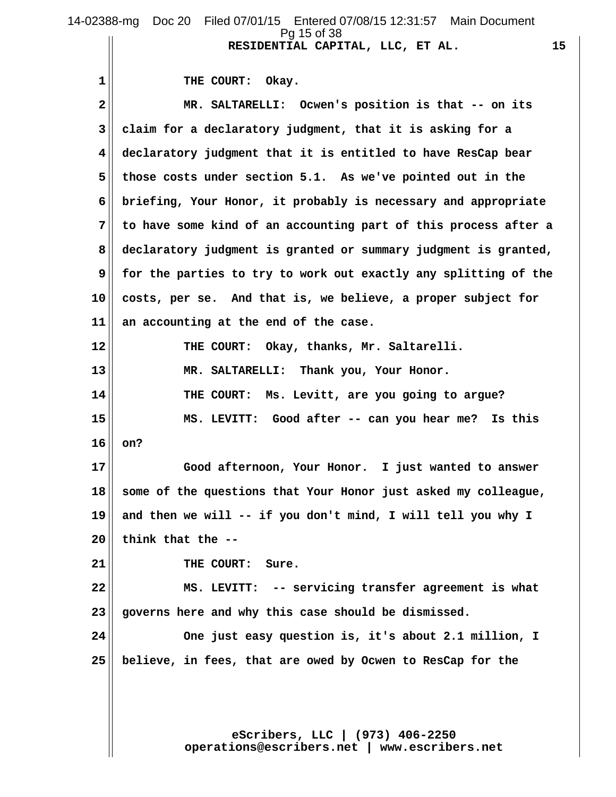1 THE COURT: Okay.  **2 MR. SALTARELLI: Ocwen's position is that -- on its 3 claim for a declaratory judgment, that it is asking for a 4 declaratory judgment that it is entitled to have ResCap bear 5 those costs under section 5.1. As we've pointed out in the 6 briefing, Your Honor, it probably is necessary and appropriate 7 to have some kind of an accounting part of this process after a 8 declaratory judgment is granted or summary judgment is granted, 9 for the parties to try to work out exactly any splitting of the 10 costs, per se. And that is, we believe, a proper subject for 11 an accounting at the end of the case. 12 THE COURT: Okay, thanks, Mr. Saltarelli. 13 MR. SALTARELLI: Thank you, Your Honor. 14 THE COURT: Ms. Levitt, are you going to argue? 15 MS. LEVITT: Good after -- can you hear me? Is this 16 on? 17 Good afternoon, Your Honor. I just wanted to answer 18 some of the questions that Your Honor just asked my colleague, 19 and then we will -- if you don't mind, I will tell you why I 20 think that the --** 21 | THE COURT: Sure. **22 MS. LEVITT: -- servicing transfer agreement is what 23 governs here and why this case should be dismissed. 24 One just easy question is, it's about 2.1 million, I 25 believe, in fees, that are owed by Ocwen to ResCap for the**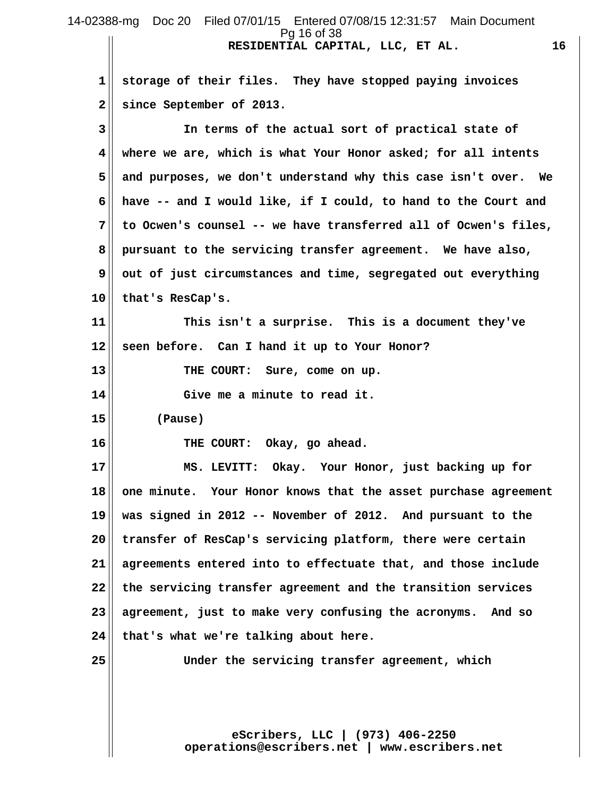#### **RESIDENTIAL CAPITAL, LLC, ET AL. 16** 14-02388-mg Doc 20 Filed 07/01/15 Entered 07/08/15 12:31:57 Main Document Pg 16 of 38

 **1 storage of their files. They have stopped paying invoices 2 since September of 2013.**

 **3 In terms of the actual sort of practical state of 4 where we are, which is what Your Honor asked; for all intents 5 and purposes, we don't understand why this case isn't over. We 6 have -- and I would like, if I could, to hand to the Court and 7 to Ocwen's counsel -- we have transferred all of Ocwen's files, 8 pursuant to the servicing transfer agreement. We have also,**  $9$  out of just circumstances and time, segregated out everything **10 that's ResCap's.**

**11 This isn't a surprise. This is a document they've 12 seen before. Can I hand it up to Your Honor?**

**13 THE COURT: Sure, come on up.**

**14 Give me a minute to read it.**

**15 (Pause)**

**16 THE COURT: Okay, go ahead.**

**17 MS. LEVITT: Okay. Your Honor, just backing up for 18 one minute. Your Honor knows that the asset purchase agreement 19 was signed in 2012 -- November of 2012. And pursuant to the 20 transfer of ResCap's servicing platform, there were certain 21 agreements entered into to effectuate that, and those include 22 the servicing transfer agreement and the transition services 23 agreement, just to make very confusing the acronyms. And so 24 that's what we're talking about here.**

**25 Under the servicing transfer agreement, which**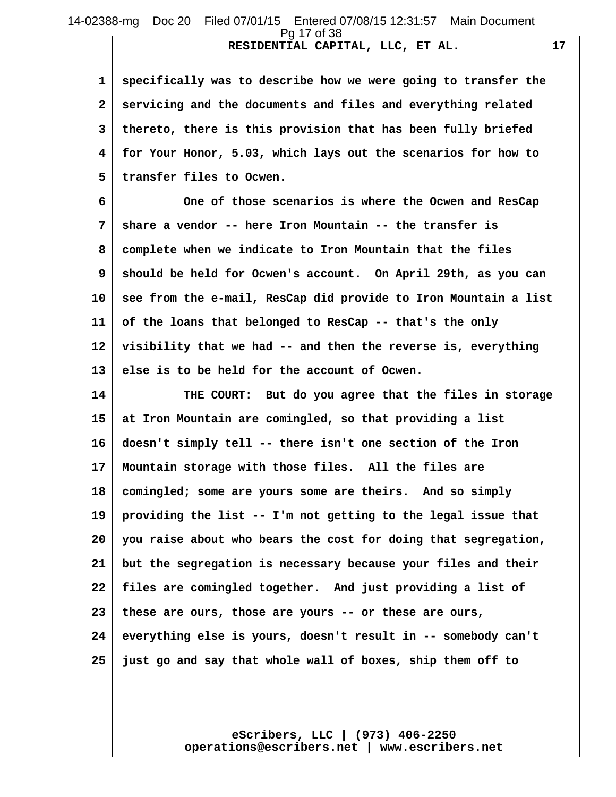#### **RESIDENTIAL CAPITAL, LLC, ET AL. 17** 14-02388-mg Doc 20 Filed 07/01/15 Entered 07/08/15 12:31:57 Main Document Pg 17 of 38

 **1 specifically was to describe how we were going to transfer the 2 servicing and the documents and files and everything related 3 thereto, there is this provision that has been fully briefed 4 for Your Honor, 5.03, which lays out the scenarios for how to 5 transfer files to Ocwen.**

 **6 One of those scenarios is where the Ocwen and ResCap 7 share a vendor -- here Iron Mountain -- the transfer is 8 complete when we indicate to Iron Mountain that the files 9 should be held for Ocwen's account. On April 29th, as you can 10 see from the e-mail, ResCap did provide to Iron Mountain a list 11 of the loans that belonged to ResCap -- that's the only 12 visibility that we had -- and then the reverse is, everything 13 else is to be held for the account of Ocwen.**

**14 THE COURT: But do you agree that the files in storage 15 at Iron Mountain are comingled, so that providing a list 16 doesn't simply tell -- there isn't one section of the Iron 17 Mountain storage with those files. All the files are 18 comingled; some are yours some are theirs. And so simply 19 providing the list -- I'm not getting to the legal issue that 20 you raise about who bears the cost for doing that segregation, 21 but the segregation is necessary because your files and their 22 files are comingled together. And just providing a list of 23 these are ours, those are yours -- or these are ours, 24 everything else is yours, doesn't result in -- somebody can't 25 just go and say that whole wall of boxes, ship them off to**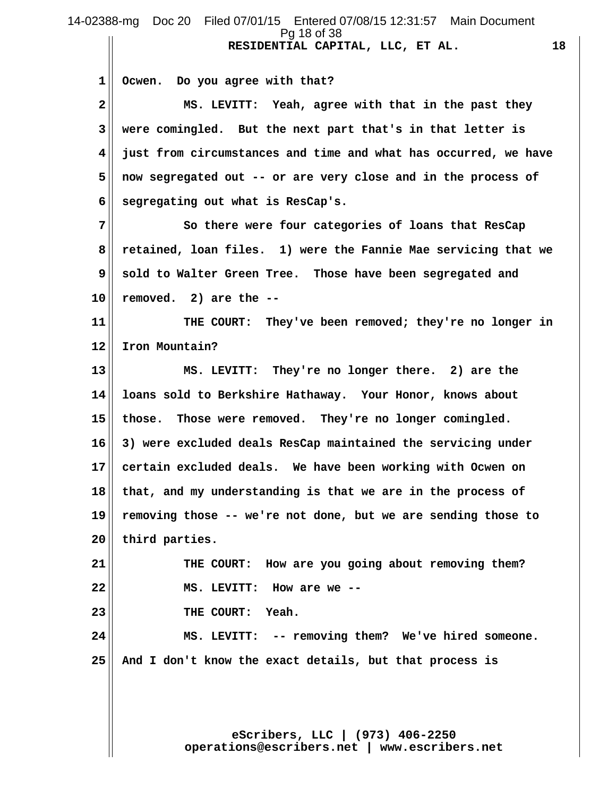**RESIDENTIAL CAPITAL, LLC, ET AL. 18 1 Ocwen. Do you agree with that? 2 MS. LEVITT: Yeah, agree with that in the past they 3 were comingled. But the next part that's in that letter is 4 just from circumstances and time and what has occurred, we have 5 now segregated out -- or are very close and in the process of 6 segregating out what is ResCap's. 7 So there were four categories of loans that ResCap 8 retained, loan files. 1) were the Fannie Mae servicing that we 9 sold to Walter Green Tree. Those have been segregated and 10 removed. 2) are the -- 11 THE COURT: They've been removed; they're no longer in 12 Iron Mountain? 13 MS. LEVITT: They're no longer there. 2) are the 14 loans sold to Berkshire Hathaway. Your Honor, knows about 15 those. Those were removed. They're no longer comingled. 16 3) were excluded deals ResCap maintained the servicing under 17 certain excluded deals. We have been working with Ocwen on 18 that, and my understanding is that we are in the process of 19 removing those -- we're not done, but we are sending those to 20 third parties. 21 THE COURT: How are you going about removing them? 22 MS. LEVITT: How are we -- 23 THE COURT: Yeah. 24 MS. LEVITT: -- removing them? We've hired someone. 25 And I don't know the exact details, but that process is** 14-02388-mg Doc 20 Filed 07/01/15 Entered 07/08/15 12:31:57 Main Document Pg 18 of 38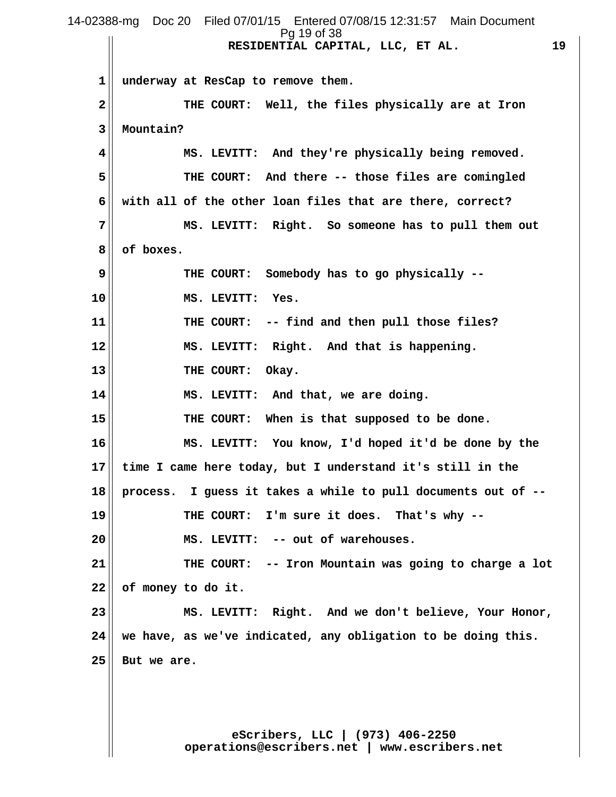**RESIDENTIAL CAPITAL, LLC, ET AL. 19 1 underway at ResCap to remove them. 2 THE COURT: Well, the files physically are at Iron 3 Mountain? 4 MS. LEVITT: And they're physically being removed. 5 THE COURT: And there -- those files are comingled 6 with all of the other loan files that are there, correct? 7 MS. LEVITT: Right. So someone has to pull them out 8 of boxes. 9 THE COURT: Somebody has to go physically -- 10 MS. LEVITT: Yes. 11 THE COURT: -- find and then pull those files? 12 MS. LEVITT: Right. And that is happening.** 13 || THE COURT: Okay. **14 MS. LEVITT: And that, we are doing. 15 THE COURT: When is that supposed to be done. 16 MS. LEVITT: You know, I'd hoped it'd be done by the 17 time I came here today, but I understand it's still in the 18 process. I guess it takes a while to pull documents out of -- 19 THE COURT: I'm sure it does. That's why -- 20 MS. LEVITT: -- out of warehouses. 21 THE COURT: -- Iron Mountain was going to charge a lot 22 of money to do it. 23 MS. LEVITT: Right. And we don't believe, Your Honor, 24 we have, as we've indicated, any obligation to be doing this. 25 But we are.** 14-02388-mg Doc 20 Filed 07/01/15 Entered 07/08/15 12:31:57 Main Document Pg 19 of 38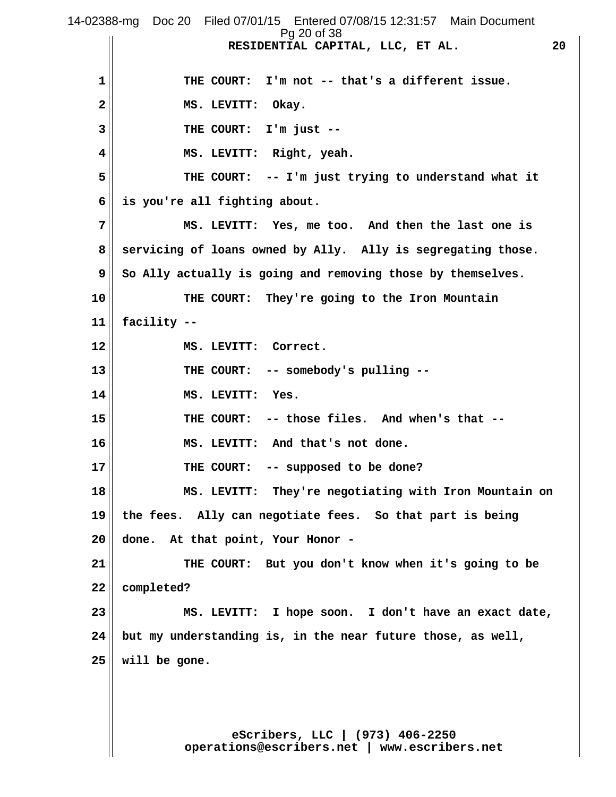**RESIDENTIAL CAPITAL, LLC, ET AL. 20 1 THE COURT: I'm not -- that's a different issue.** 2<sup>|</sup> MS. LEVITT: Okay.  **3 THE COURT: I'm just -- 4 MS. LEVITT: Right, yeah. 5 THE COURT: -- I'm just trying to understand what it 6 is you're all fighting about. 7 MS. LEVITT: Yes, me too. And then the last one is 8 servicing of loans owned by Ally. Ally is segregating those. 9 So Ally actually is going and removing those by themselves. 10 THE COURT: They're going to the Iron Mountain 11 facility -- 12 MS. LEVITT: Correct. 13 THE COURT: -- somebody's pulling -- 14 MS. LEVITT: Yes. 15 THE COURT: -- those files. And when's that -- 16 MS. LEVITT: And that's not done. 17 THE COURT: -- supposed to be done? 18 MS. LEVITT: They're negotiating with Iron Mountain on 19 the fees. Ally can negotiate fees. So that part is being 20 done. At that point, Your Honor - 21 THE COURT: But you don't know when it's going to be 22 completed? 23 MS. LEVITT: I hope soon. I don't have an exact date, 24 but my understanding is, in the near future those, as well, 25 will be gone.** 14-02388-mg Doc 20 Filed 07/01/15 Entered 07/08/15 12:31:57 Main Document Pg 20 of 38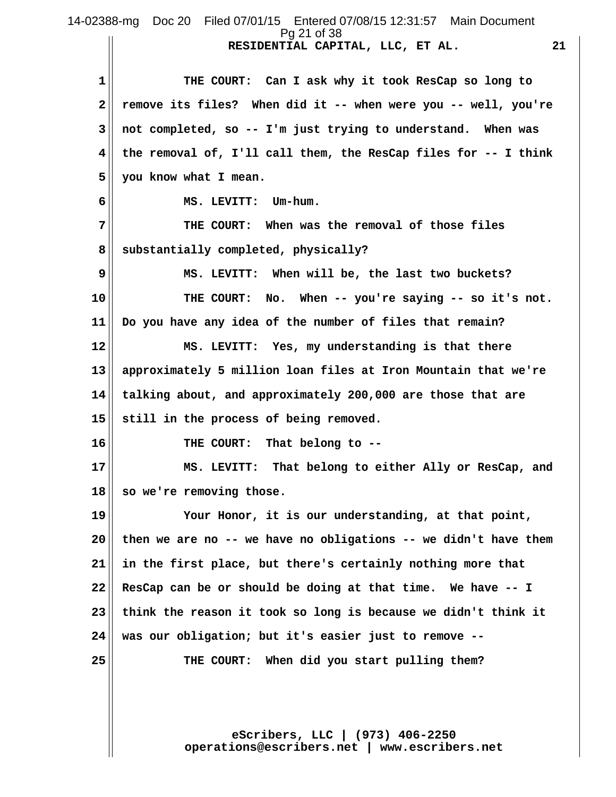**RESIDENTIAL CAPITAL, LLC, ET AL. 21** 14-02388-mg Doc 20 Filed 07/01/15 Entered 07/08/15 12:31:57 Main Document Pg 21 of 38

 **1 THE COURT: Can I ask why it took ResCap so long to 2 remove its files? When did it -- when were you -- well, you're 3 not completed, so -- I'm just trying to understand. When was 4 the removal of, I'll call them, the ResCap files for -- I think 5 you know what I mean. 6 MS. LEVITT: Um-hum. 7 THE COURT: When was the removal of those files 8 substantially completed, physically? 9 MS. LEVITT: When will be, the last two buckets? 10 THE COURT: No. When -- you're saying -- so it's not. 11 Do you have any idea of the number of files that remain? 12 MS. LEVITT: Yes, my understanding is that there 13 approximately 5 million loan files at Iron Mountain that we're 14 talking about, and approximately 200,000 are those that are 15 still in the process of being removed. 16 THE COURT: That belong to -- 17 MS. LEVITT: That belong to either Ally or ResCap, and 18 so we're removing those. 19 Your Honor, it is our understanding, at that point, 20 then we are no -- we have no obligations -- we didn't have them 21 in the first place, but there's certainly nothing more that 22 ResCap can be or should be doing at that time. We have -- I 23 think the reason it took so long is because we didn't think it 24 was our obligation; but it's easier just to remove -- 25 THE COURT: When did you start pulling them?**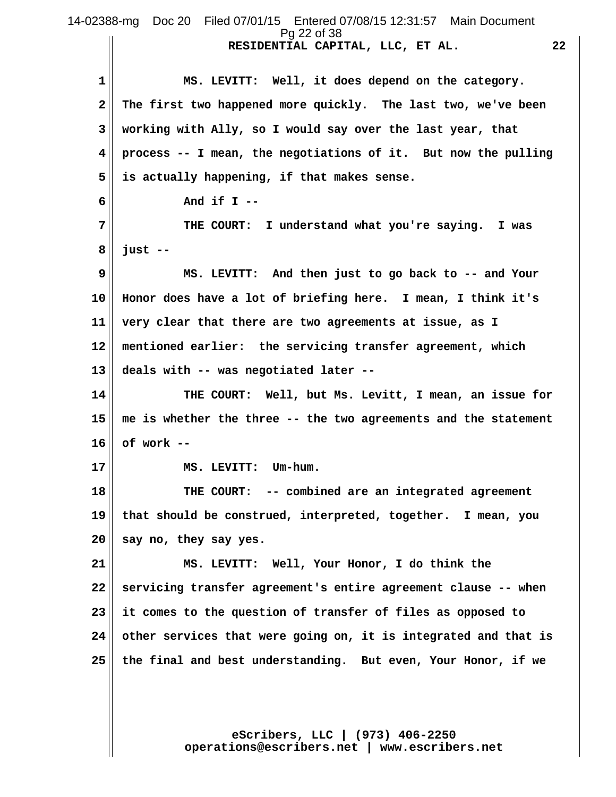**RESIDENTIAL CAPITAL, LLC, ET AL. 22** 1 MS. LEVITT: Well, it does depend on the category.  **2 The first two happened more quickly. The last two, we've been 3 working with Ally, so I would say over the last year, that 4 process -- I mean, the negotiations of it. But now the pulling 5 is actually happening, if that makes sense. 6 And if I -- 7 THE COURT: I understand what you're saying. I was 8 just -- 9 MS. LEVITT: And then just to go back to -- and Your 10 Honor does have a lot of briefing here. I mean, I think it's 11 very clear that there are two agreements at issue, as I 12 mentioned earlier: the servicing transfer agreement, which 13 deals with -- was negotiated later -- 14 THE COURT: Well, but Ms. Levitt, I mean, an issue for 15 me is whether the three -- the two agreements and the statement 16 of work -- 17 MS. LEVITT: Um-hum. 18 THE COURT: -- combined are an integrated agreement 19 that should be construed, interpreted, together. I mean, you 20 say no, they say yes. 21 MS. LEVITT: Well, Your Honor, I do think the 22 servicing transfer agreement's entire agreement clause -- when 23 it comes to the question of transfer of files as opposed to 24 other services that were going on, it is integrated and that is 25 the final and best understanding. But even, Your Honor, if we** 14-02388-mg Doc 20 Filed 07/01/15 Entered 07/08/15 12:31:57 Main Document Pg 22 of 38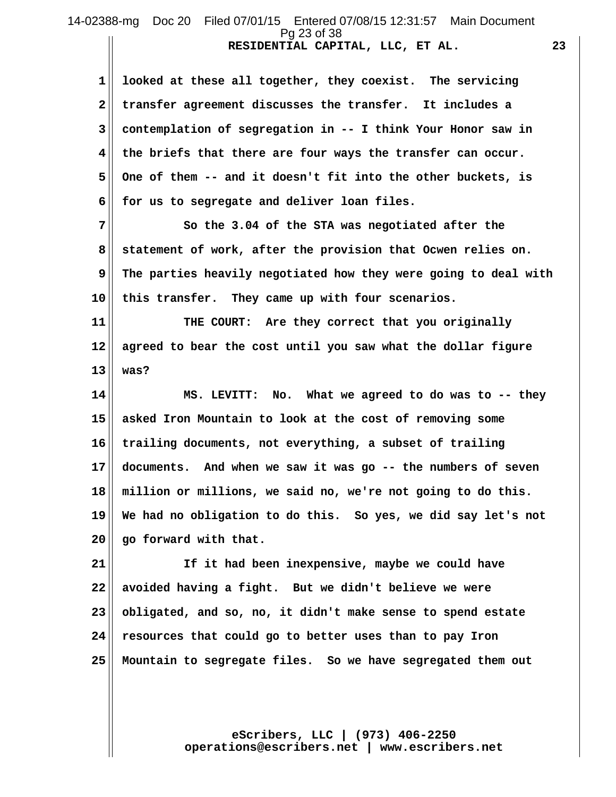## **RESIDENTIAL CAPITAL, LLC, ET AL. 23** 14-02388-mg Doc 20 Filed 07/01/15 Entered 07/08/15 12:31:57 Main Document Pg 23 of 38

 **1 looked at these all together, they coexist. The servicing 2 transfer agreement discusses the transfer. It includes a 3 contemplation of segregation in -- I think Your Honor saw in 4 the briefs that there are four ways the transfer can occur.** 5 | One of them -- and it doesn't fit into the other buckets, is  **6 for us to segregate and deliver loan files.**

 **7 So the 3.04 of the STA was negotiated after the 8 statement of work, after the provision that Ocwen relies on. 9 The parties heavily negotiated how they were going to deal with 10 this transfer. They came up with four scenarios.**

**11 THE COURT: Are they correct that you originally 12 agreed to bear the cost until you saw what the dollar figure 13 was?**

**14 MS. LEVITT: No. What we agreed to do was to -- they 15 asked Iron Mountain to look at the cost of removing some 16 trailing documents, not everything, a subset of trailing 17 documents. And when we saw it was go -- the numbers of seven 18 million or millions, we said no, we're not going to do this. 19 We had no obligation to do this. So yes, we did say let's not 20 go forward with that.**

**21 If it had been inexpensive, maybe we could have 22 avoided having a fight. But we didn't believe we were 23 obligated, and so, no, it didn't make sense to spend estate 24 resources that could go to better uses than to pay Iron 25 Mountain to segregate files. So we have segregated them out**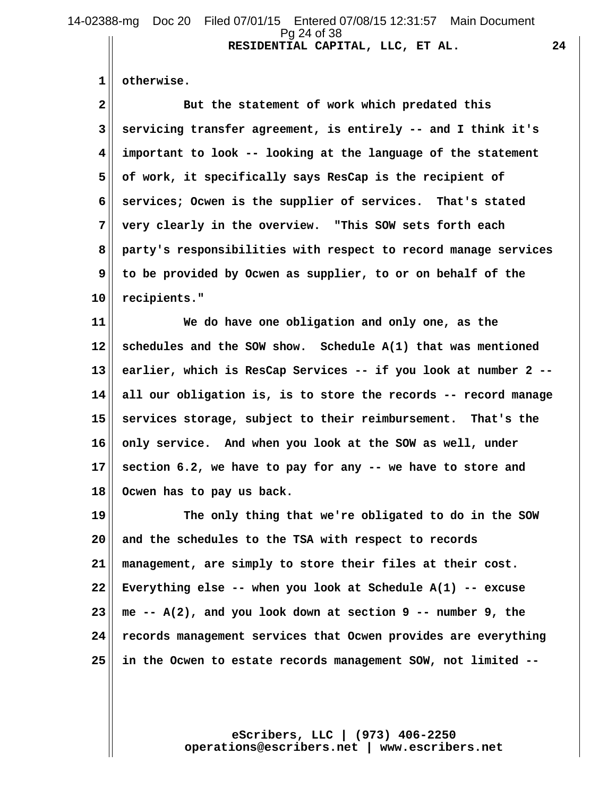14-02388-mg Doc 20 Filed 07/01/15 Entered 07/08/15 12:31:57 Main Document Pg 24 of 38

**RESIDENTIAL CAPITAL, LLC, ET AL. 24**

 **1 otherwise.**

2<sup>|</sup> But the statement of work which predated this  **3 servicing transfer agreement, is entirely -- and I think it's 4 important to look -- looking at the language of the statement 5 of work, it specifically says ResCap is the recipient of 6 services; Ocwen is the supplier of services. That's stated 7 very clearly in the overview. "This SOW sets forth each 8 party's responsibilities with respect to record manage services 9 to be provided by Ocwen as supplier, to or on behalf of the 10 recipients."**

**11 We do have one obligation and only one, as the 12 schedules and the SOW show. Schedule A(1) that was mentioned 13 earlier, which is ResCap Services -- if you look at number 2 -- 14 all our obligation is, is to store the records -- record manage 15 services storage, subject to their reimbursement. That's the 16 only service. And when you look at the SOW as well, under 17 section 6.2, we have to pay for any -- we have to store and 18 Ocwen has to pay us back.**

**19 The only thing that we're obligated to do in the SOW 20 and the schedules to the TSA with respect to records 21 management, are simply to store their files at their cost. 22 Everything else -- when you look at Schedule A(1) -- excuse 23 me -- A(2), and you look down at section 9 -- number 9, the 24 records management services that Ocwen provides are everything 25 in the Ocwen to estate records management SOW, not limited --**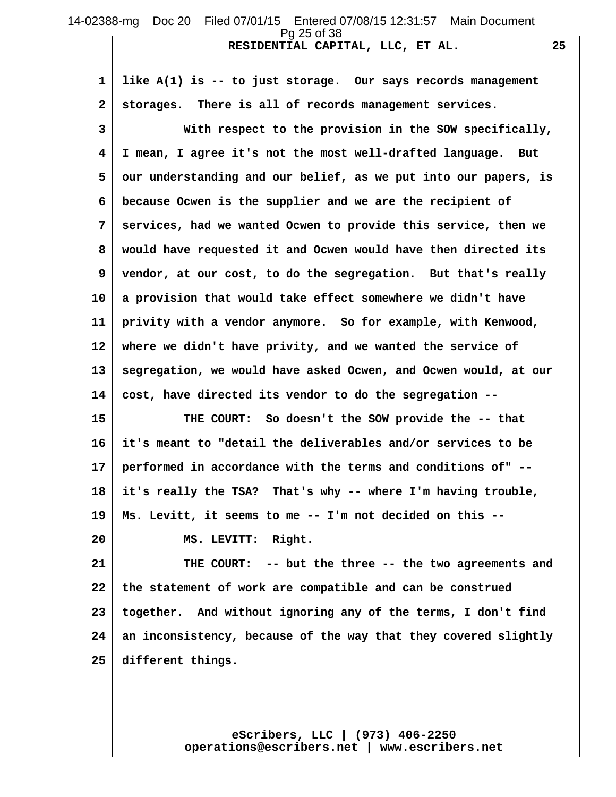### **RESIDENTIAL CAPITAL, LLC, ET AL. 25** 14-02388-mg Doc 20 Filed 07/01/15 Entered 07/08/15 12:31:57 Main Document Pg 25 of 38

 **1 like A(1) is -- to just storage. Our says records management 2 storages. There is all of records management services.**

 **3 With respect to the provision in the SOW specifically, 4 I mean, I agree it's not the most well-drafted language. But 5 our understanding and our belief, as we put into our papers, is 6 because Ocwen is the supplier and we are the recipient of 7 services, had we wanted Ocwen to provide this service, then we 8 would have requested it and Ocwen would have then directed its 9 vendor, at our cost, to do the segregation. But that's really 10 a provision that would take effect somewhere we didn't have 11 privity with a vendor anymore. So for example, with Kenwood, 12 where we didn't have privity, and we wanted the service of 13 segregation, we would have asked Ocwen, and Ocwen would, at our 14 cost, have directed its vendor to do the segregation --**

**15 THE COURT: So doesn't the SOW provide the -- that 16 it's meant to "detail the deliverables and/or services to be 17 performed in accordance with the terms and conditions of" -- 18 it's really the TSA? That's why -- where I'm having trouble, 19 Ms. Levitt, it seems to me -- I'm not decided on this --**

**20 MS. LEVITT: Right.**

**21 THE COURT: -- but the three -- the two agreements and 22 the statement of work are compatible and can be construed 23 together. And without ignoring any of the terms, I don't find 24 an inconsistency, because of the way that they covered slightly 25 different things.**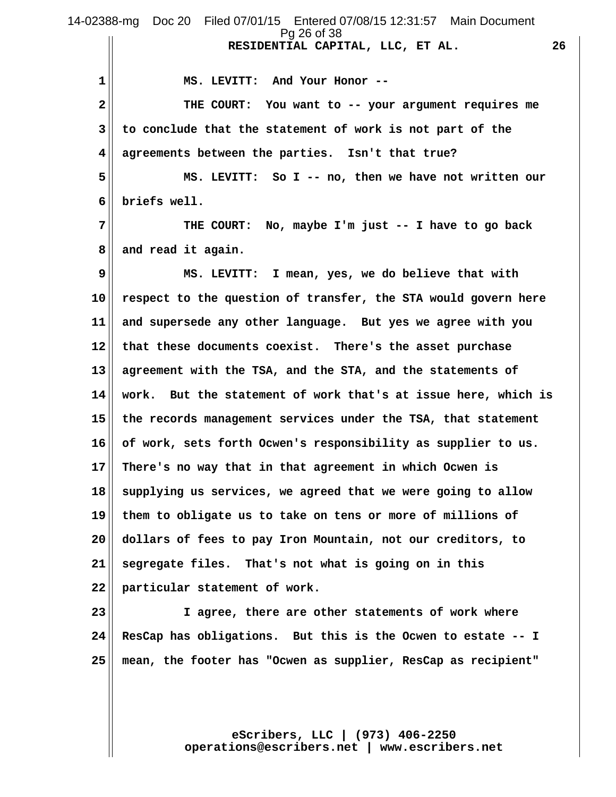**RESIDENTIAL CAPITAL, LLC, ET AL. 26 1 MS. LEVITT: And Your Honor -- 2 THE COURT: You want to -- your argument requires me 3 to conclude that the statement of work is not part of the 4 agreements between the parties. Isn't that true? 5 MS. LEVITT: So I -- no, then we have not written our 6 briefs well. 7 THE COURT: No, maybe I'm just -- I have to go back 8 and read it again. 9 MS. LEVITT: I mean, yes, we do believe that with 10 respect to the question of transfer, the STA would govern here 11 and supersede any other language. But yes we agree with you 12 that these documents coexist. There's the asset purchase 13 agreement with the TSA, and the STA, and the statements of 14 work. But the statement of work that's at issue here, which is 15 the records management services under the TSA, that statement 16 of work, sets forth Ocwen's responsibility as supplier to us. 17 There's no way that in that agreement in which Ocwen is 18 supplying us services, we agreed that we were going to allow 19 them to obligate us to take on tens or more of millions of 20 dollars of fees to pay Iron Mountain, not our creditors, to 21 segregate files. That's not what is going on in this 22 particular statement of work. 23 I agree, there are other statements of work where 24 ResCap has obligations. But this is the Ocwen to estate -- I 25 mean, the footer has "Ocwen as supplier, ResCap as recipient"** 14-02388-mg Doc 20 Filed 07/01/15 Entered 07/08/15 12:31:57 Main Document Pg 26 of 38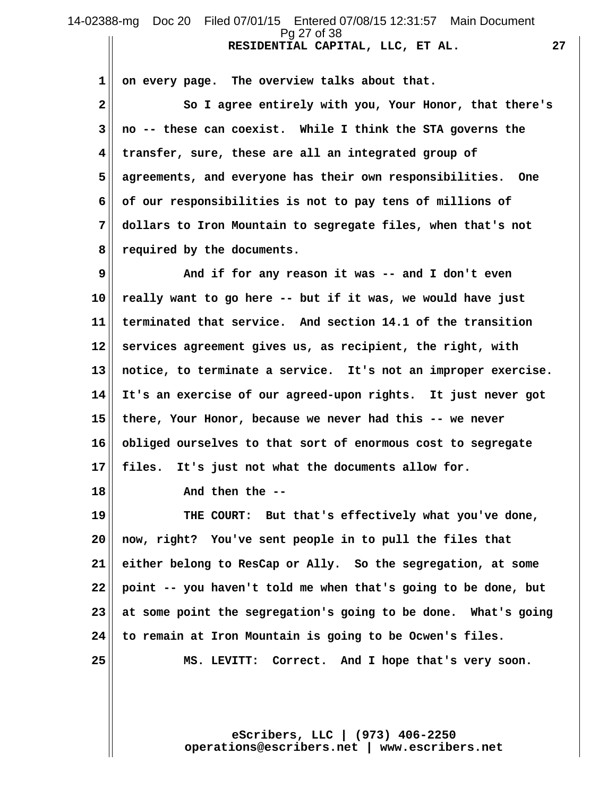### **RESIDENTIAL CAPITAL, LLC, ET AL. 27** 14-02388-mg Doc 20 Filed 07/01/15 Entered 07/08/15 12:31:57 Main Document Pg 27 of 38

 **1 on every page. The overview talks about that.**

 **2 So I agree entirely with you, Your Honor, that there's 3 no -- these can coexist. While I think the STA governs the 4 transfer, sure, these are all an integrated group of 5 agreements, and everyone has their own responsibilities. One 6 of our responsibilities is not to pay tens of millions of 7 dollars to Iron Mountain to segregate files, when that's not 8 required by the documents.**

 **9 And if for any reason it was -- and I don't even 10 really want to go here -- but if it was, we would have just 11 terminated that service. And section 14.1 of the transition 12 services agreement gives us, as recipient, the right, with 13 notice, to terminate a service. It's not an improper exercise. 14 It's an exercise of our agreed-upon rights. It just never got 15 there, Your Honor, because we never had this -- we never 16 obliged ourselves to that sort of enormous cost to segregate 17 files. It's just not what the documents allow for.**

**18 And then the --**

**19 THE COURT: But that's effectively what you've done, 20 now, right? You've sent people in to pull the files that 21 either belong to ResCap or Ally. So the segregation, at some 22 point -- you haven't told me when that's going to be done, but 23 at some point the segregation's going to be done. What's going 24 to remain at Iron Mountain is going to be Ocwen's files.**

**25 MS. LEVITT: Correct. And I hope that's very soon.**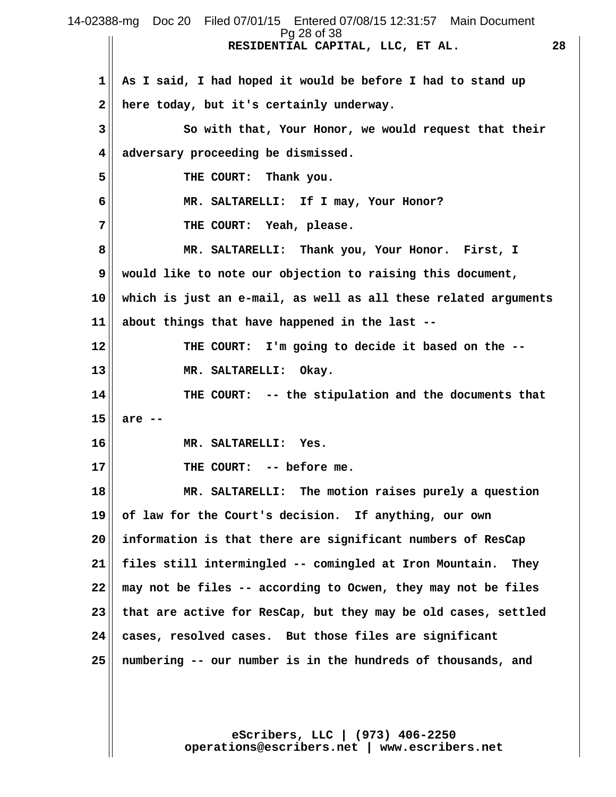**RESIDENTIAL CAPITAL, LLC, ET AL. 28 1 As I said, I had hoped it would be before I had to stand up 2 here today, but it's certainly underway. 3 So with that, Your Honor, we would request that their 4 adversary proceeding be dismissed. 5** THE COURT: Thank you.  **6 MR. SALTARELLI: If I may, Your Honor? 7 THE COURT: Yeah, please. 8 MR. SALTARELLI: Thank you, Your Honor. First, I 9 would like to note our objection to raising this document, 10 which is just an e-mail, as well as all these related arguments 11 about things that have happened in the last -- 12 THE COURT: I'm going to decide it based on the -- 13 MR. SALTARELLI: Okay. 14 THE COURT: -- the stipulation and the documents that 15 are -- 16 MR. SALTARELLI: Yes. 17 THE COURT: -- before me. 18 MR. SALTARELLI: The motion raises purely a question 19 of law for the Court's decision. If anything, our own 20 information is that there are significant numbers of ResCap 21 files still intermingled -- comingled at Iron Mountain. They 22 may not be files -- according to Ocwen, they may not be files 23 that are active for ResCap, but they may be old cases, settled 24 cases, resolved cases. But those files are significant 25 numbering -- our number is in the hundreds of thousands, and** 14-02388-mg Doc 20 Filed 07/01/15 Entered 07/08/15 12:31:57 Main Document Pg 28 of 38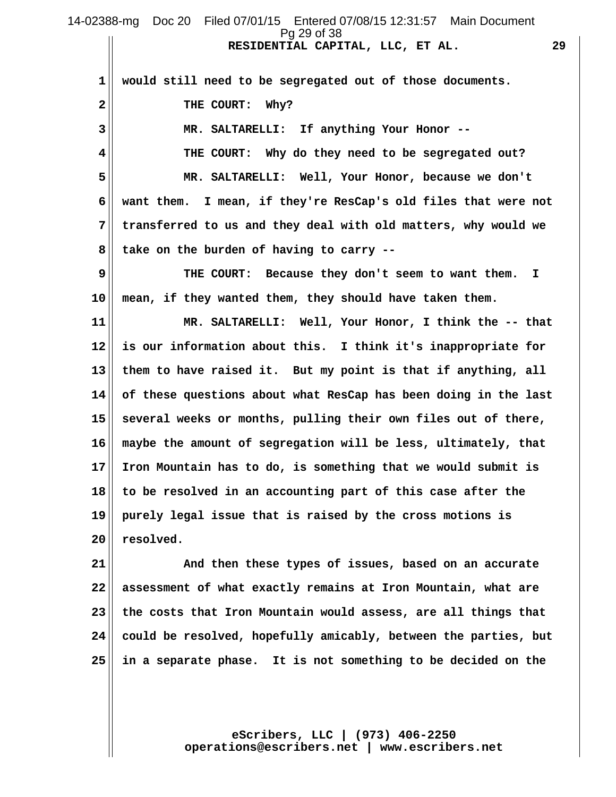**RESIDENTIAL CAPITAL, LLC, ET AL. 29** 14-02388-mg Doc 20 Filed 07/01/15 Entered 07/08/15 12:31:57 Main Document Pg 29 of 38

 **1 would still need to be segregated out of those documents.** 2<sup>|</sup> THE COURT: Why?  **3 MR. SALTARELLI: If anything Your Honor -- 4 THE COURT: Why do they need to be segregated out? 5 MR. SALTARELLI: Well, Your Honor, because we don't 6 want them. I mean, if they're ResCap's old files that were not 7 transferred to us and they deal with old matters, why would we 8 take on the burden of having to carry -- 9 THE COURT: Because they don't seem to want them. I 10 mean, if they wanted them, they should have taken them. 11 MR. SALTARELLI: Well, Your Honor, I think the -- that 12 is our information about this. I think it's inappropriate for 13 them to have raised it. But my point is that if anything, all 14 of these questions about what ResCap has been doing in the last 15 several weeks or months, pulling their own files out of there, 16 maybe the amount of segregation will be less, ultimately, that 17 Iron Mountain has to do, is something that we would submit is 18 to be resolved in an accounting part of this case after the 19 purely legal issue that is raised by the cross motions is 20 resolved.**

**21 And then these types of issues, based on an accurate 22 assessment of what exactly remains at Iron Mountain, what are 23 the costs that Iron Mountain would assess, are all things that 24 could be resolved, hopefully amicably, between the parties, but 25 in a separate phase. It is not something to be decided on the**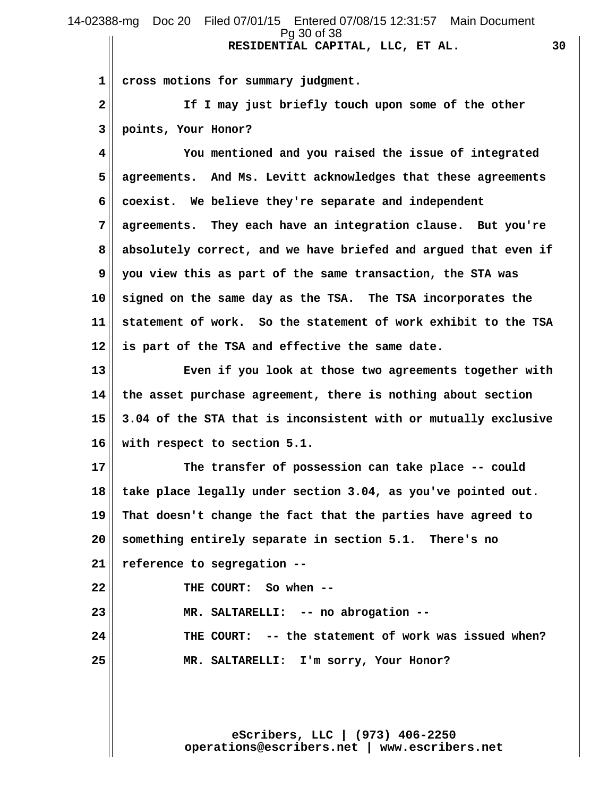# **RESIDENTIAL CAPITAL, LLC, ET AL. 30** 14-02388-mg Doc 20 Filed 07/01/15 Entered 07/08/15 12:31:57 Main Document Pg 30 of 38

 **1 cross motions for summary judgment.**

 **2 If I may just briefly touch upon some of the other 3 points, Your Honor?**

 **4 You mentioned and you raised the issue of integrated 5 agreements. And Ms. Levitt acknowledges that these agreements 6 coexist. We believe they're separate and independent 7 agreements. They each have an integration clause. But you're 8 absolutely correct, and we have briefed and argued that even if 9 you view this as part of the same transaction, the STA was 10 signed on the same day as the TSA. The TSA incorporates the 11 statement of work. So the statement of work exhibit to the TSA 12 is part of the TSA and effective the same date.**

**13 Even if you look at those two agreements together with 14 the asset purchase agreement, there is nothing about section 15 3.04 of the STA that is inconsistent with or mutually exclusive 16 with respect to section 5.1.**

**17 The transfer of possession can take place -- could 18 take place legally under section 3.04, as you've pointed out. 19 That doesn't change the fact that the parties have agreed to 20 something entirely separate in section 5.1. There's no 21 reference to segregation -- 22 THE COURT: So when -- 23 MR. SALTARELLI: -- no abrogation --**

**24 THE COURT: -- the statement of work was issued when? 25 MR. SALTARELLI: I'm sorry, Your Honor?**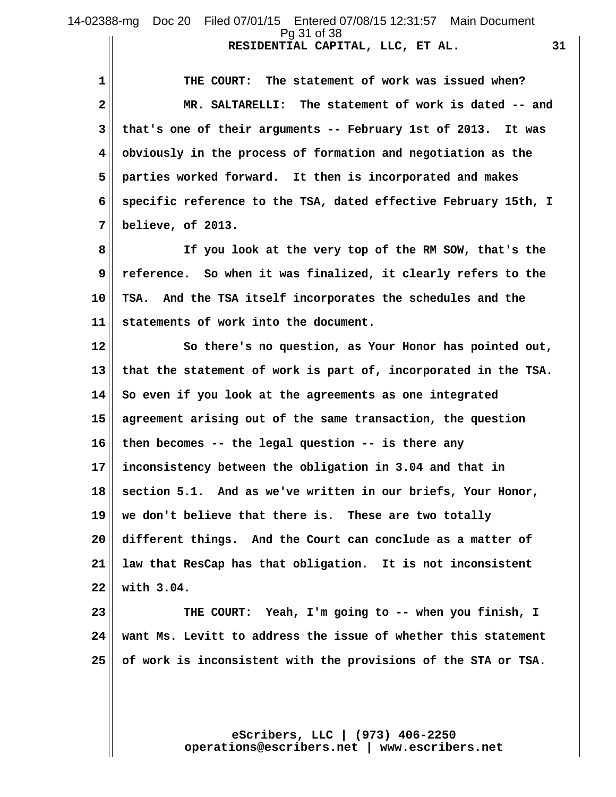1 THE COURT: The statement of work was issued when?  **2 MR. SALTARELLI: The statement of work is dated -- and 3 that's one of their arguments -- February 1st of 2013. It was 4 obviously in the process of formation and negotiation as the 5 parties worked forward. It then is incorporated and makes 6 specific reference to the TSA, dated effective February 15th, I 7 believe, of 2013.**

 **8 If you look at the very top of the RM SOW, that's the 9 reference. So when it was finalized, it clearly refers to the 10 TSA. And the TSA itself incorporates the schedules and the 11 statements of work into the document.**

**12 So there's no question, as Your Honor has pointed out, 13 that the statement of work is part of, incorporated in the TSA. 14 So even if you look at the agreements as one integrated 15 agreement arising out of the same transaction, the question 16 then becomes -- the legal question -- is there any 17 inconsistency between the obligation in 3.04 and that in 18 section 5.1. And as we've written in our briefs, Your Honor, 19 we don't believe that there is. These are two totally 20 different things. And the Court can conclude as a matter of 21 law that ResCap has that obligation. It is not inconsistent 22 with 3.04.**

**23 THE COURT: Yeah, I'm going to -- when you finish, I 24 want Ms. Levitt to address the issue of whether this statement 25 of work is inconsistent with the provisions of the STA or TSA.**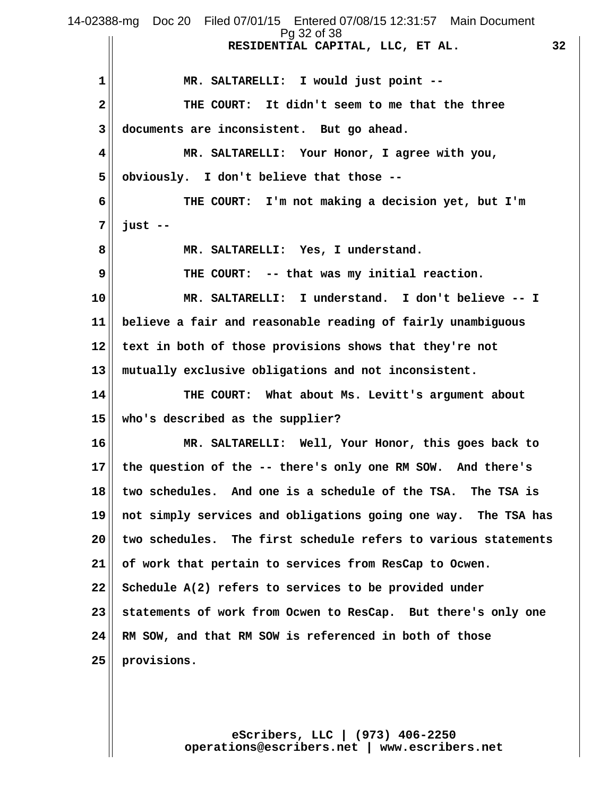**RESIDENTIAL CAPITAL, LLC, ET AL. 32 1 MR. SALTARELLI: I would just point -- 2 THE COURT: It didn't seem to me that the three 3 documents are inconsistent. But go ahead. 4 MR. SALTARELLI: Your Honor, I agree with you, 5 obviously. I don't believe that those -- 6 THE COURT: I'm not making a decision yet, but I'm 7 just -- 8 MR. SALTARELLI: Yes, I understand. 9 THE COURT: -- that was my initial reaction. 10 MR. SALTARELLI: I understand. I don't believe -- I 11 believe a fair and reasonable reading of fairly unambiguous 12 text in both of those provisions shows that they're not 13 mutually exclusive obligations and not inconsistent. 14 THE COURT: What about Ms. Levitt's argument about 15 who's described as the supplier? 16 MR. SALTARELLI: Well, Your Honor, this goes back to 17 the question of the -- there's only one RM SOW. And there's 18 two schedules. And one is a schedule of the TSA. The TSA is 19 not simply services and obligations going one way. The TSA has 20 two schedules. The first schedule refers to various statements 21 of work that pertain to services from ResCap to Ocwen. 22 Schedule A(2) refers to services to be provided under 23 statements of work from Ocwen to ResCap. But there's only one 24 RM SOW, and that RM SOW is referenced in both of those 25 provisions.** 14-02388-mg Doc 20 Filed 07/01/15 Entered 07/08/15 12:31:57 Main Document Pg 32 of 38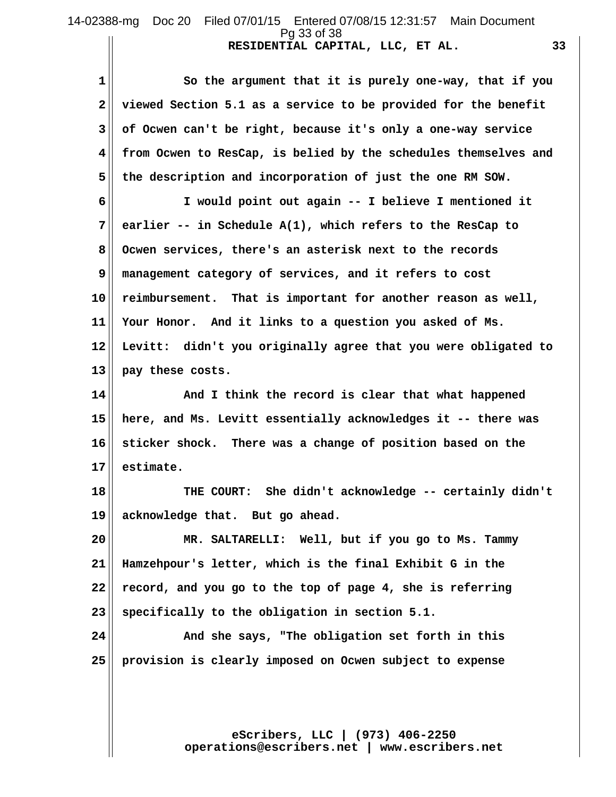## **RESIDENTIAL CAPITAL, LLC, ET AL. 33** 14-02388-mg Doc 20 Filed 07/01/15 Entered 07/08/15 12:31:57 Main Document Pg 33 of 38

1 So the argument that it is purely one-way, that if you  **2 viewed Section 5.1 as a service to be provided for the benefit 3 of Ocwen can't be right, because it's only a one-way service 4 from Ocwen to ResCap, is belied by the schedules themselves and 5 the description and incorporation of just the one RM SOW. 6 I would point out again -- I believe I mentioned it 7 earlier -- in Schedule A(1), which refers to the ResCap to 8 Ocwen services, there's an asterisk next to the records 9 management category of services, and it refers to cost 10 reimbursement. That is important for another reason as well, 11 Your Honor. And it links to a question you asked of Ms.**

**12 Levitt: didn't you originally agree that you were obligated to 13 pay these costs.**

**14 And I think the record is clear that what happened 15 here, and Ms. Levitt essentially acknowledges it -- there was 16 sticker shock. There was a change of position based on the 17 estimate.**

**18 THE COURT: She didn't acknowledge -- certainly didn't 19 acknowledge that. But go ahead.**

**20 MR. SALTARELLI: Well, but if you go to Ms. Tammy 21 Hamzehpour's letter, which is the final Exhibit G in the 22 record, and you go to the top of page 4, she is referring 23 specifically to the obligation in section 5.1.**

**24**  $\parallel$  **24 And she says, "The obligation set forth in this 25 provision is clearly imposed on Ocwen subject to expense**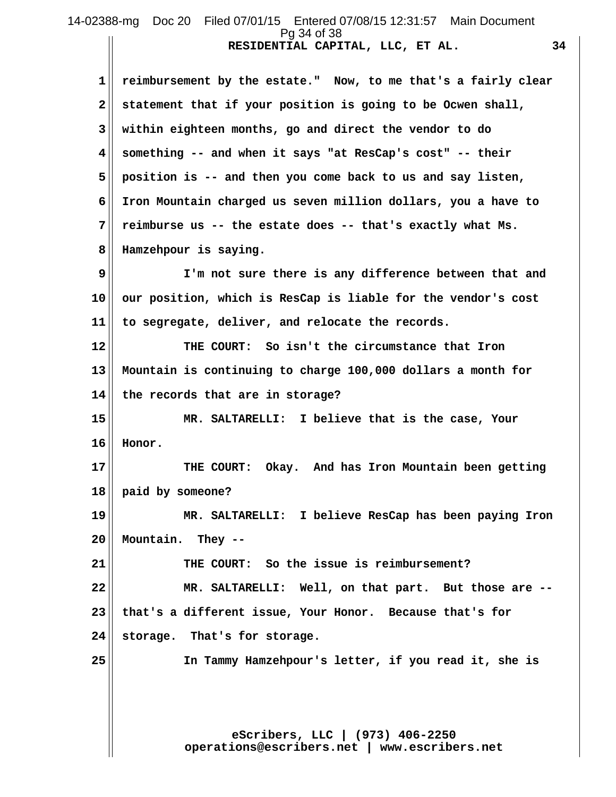#### **RESIDENTIAL CAPITAL, LLC, ET AL. 34** 14-02388-mg Doc 20 Filed 07/01/15 Entered 07/08/15 12:31:57 Main Document Pg 34 of 38

 **1 reimbursement by the estate." Now, to me that's a fairly clear 2 statement that if your position is going to be Ocwen shall, 3 within eighteen months, go and direct the vendor to do 4 something -- and when it says "at ResCap's cost" -- their 5 position is -- and then you come back to us and say listen, 6 Iron Mountain charged us seven million dollars, you a have to 7 reimburse us -- the estate does -- that's exactly what Ms. 8 Hamzehpour is saying. 9 I'm not sure there is any difference between that and**

**10 our position, which is ResCap is liable for the vendor's cost 11 to segregate, deliver, and relocate the records.**

**12 THE COURT: So isn't the circumstance that Iron 13 Mountain is continuing to charge 100,000 dollars a month for 14 the records that are in storage?**

**15 MR. SALTARELLI: I believe that is the case, Your 16 Honor.**

**17 THE COURT: Okay. And has Iron Mountain been getting 18 paid by someone?**

**19 MR. SALTARELLI: I believe ResCap has been paying Iron 20 Mountain. They --**

**21 THE COURT: So the issue is reimbursement? 22 MR. SALTARELLI: Well, on that part. But those are -- 23 that's a different issue, Your Honor. Because that's for 24 storage. That's for storage.**

**25 In Tammy Hamzehpour's letter, if you read it, she is**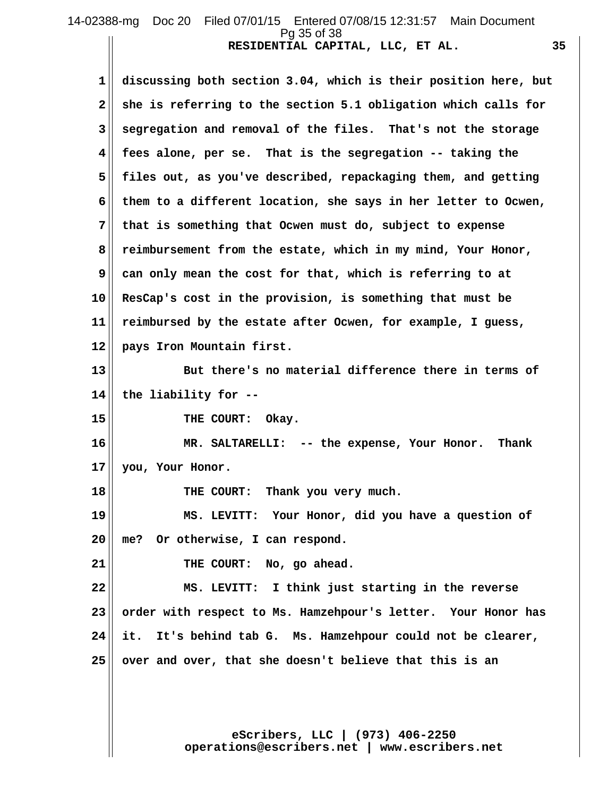# **RESIDENTIAL CAPITAL, LLC, ET AL. 35** 14-02388-mg Doc 20 Filed 07/01/15 Entered 07/08/15 12:31:57 Main Document Pg 35 of 38

 **1 discussing both section 3.04, which is their position here, but 2 she is referring to the section 5.1 obligation which calls for 3 segregation and removal of the files. That's not the storage 4 fees alone, per se. That is the segregation -- taking the 5 files out, as you've described, repackaging them, and getting 6 them to a different location, she says in her letter to Ocwen, 7 that is something that Ocwen must do, subject to expense 8 reimbursement from the estate, which in my mind, Your Honor, 9 can only mean the cost for that, which is referring to at 10 ResCap's cost in the provision, is something that must be 11 reimbursed by the estate after Ocwen, for example, I guess, 12 pays Iron Mountain first. 13 But there's no material difference there in terms of 14 the liability for -- 15 THE COURT: Okay. 16 MR. SALTARELLI: -- the expense, Your Honor. Thank 17 you, Your Honor.** 18 THE COURT: Thank you very much. **19 MS. LEVITT: Your Honor, did you have a question of 20 me? Or otherwise, I can respond. 21 THE COURT: No, go ahead. 22 MS. LEVITT: I think just starting in the reverse 23 order with respect to Ms. Hamzehpour's letter. Your Honor has 24 it. It's behind tab G. Ms. Hamzehpour could not be clearer, 25 over and over, that she doesn't believe that this is an**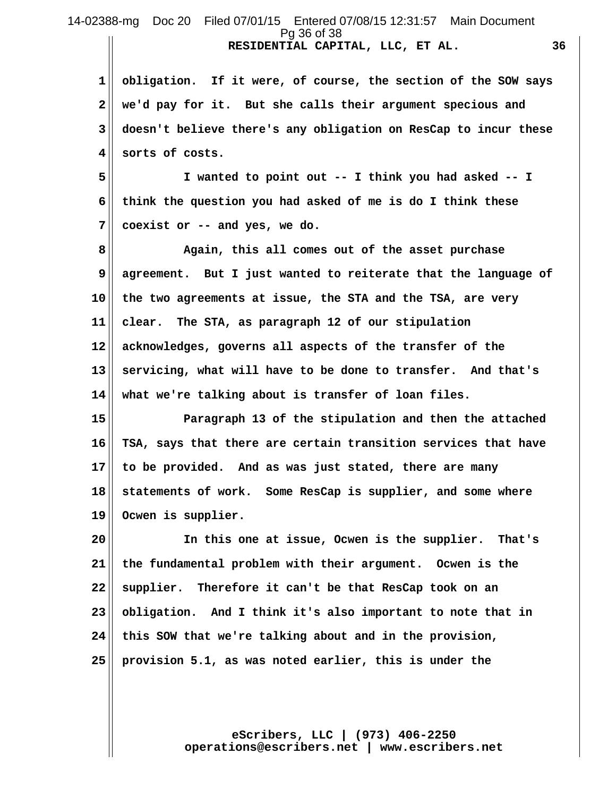**RESIDENTIAL CAPITAL, LLC, ET AL. 36 1 obligation. If it were, of course, the section of the SOW says 2 we'd pay for it. But she calls their argument specious and 3 doesn't believe there's any obligation on ResCap to incur these 4 sorts of costs.** 14-02388-mg Doc 20 Filed 07/01/15 Entered 07/08/15 12:31:57 Main Document Pg 36 of 38

 **5 I wanted to point out -- I think you had asked -- I 6 think the question you had asked of me is do I think these 7 coexist or -- and yes, we do.**

 **8 Again, this all comes out of the asset purchase 9 agreement. But I just wanted to reiterate that the language of 10 the two agreements at issue, the STA and the TSA, are very 11 clear. The STA, as paragraph 12 of our stipulation 12 acknowledges, governs all aspects of the transfer of the 13 servicing, what will have to be done to transfer. And that's 14 what we're talking about is transfer of loan files.**

**15 Paragraph 13 of the stipulation and then the attached 16 TSA, says that there are certain transition services that have 17 to be provided. And as was just stated, there are many 18 statements of work. Some ResCap is supplier, and some where 19 Ocwen is supplier.**

**20 In this one at issue, Ocwen is the supplier. That's 21 the fundamental problem with their argument. Ocwen is the 22 supplier. Therefore it can't be that ResCap took on an 23 obligation. And I think it's also important to note that in 24 this SOW that we're talking about and in the provision, 25 provision 5.1, as was noted earlier, this is under the**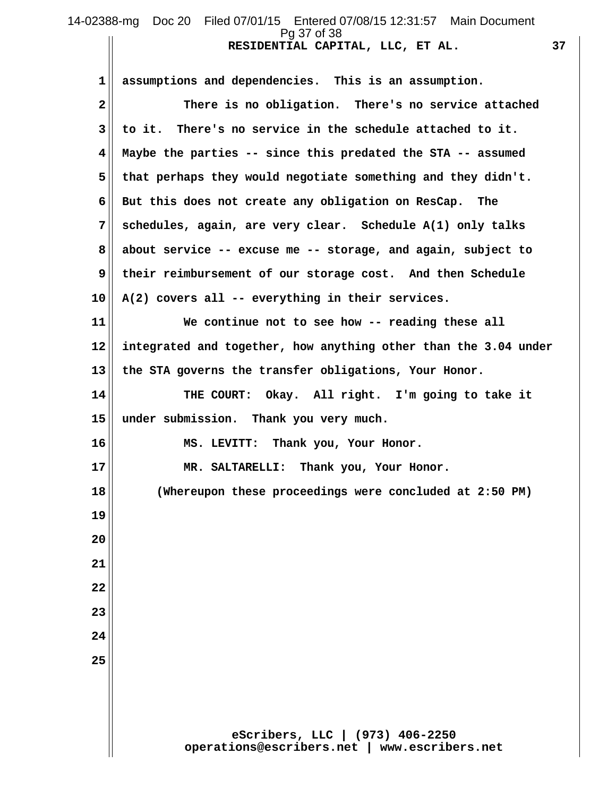# **RESIDENTIAL CAPITAL, LLC, ET AL. 37** 14-02388-mg Doc 20 Filed 07/01/15 Entered 07/08/15 12:31:57 Main Document Pg 37 of 38

**eScribers, LLC | (973) 406-2250 operations@escribers.net | www.escribers.net 1 assumptions and dependencies. This is an assumption. 2 There is no obligation. There's no service attached 3 to it. There's no service in the schedule attached to it. 4 Maybe the parties -- since this predated the STA -- assumed 5 that perhaps they would negotiate something and they didn't. 6 But this does not create any obligation on ResCap. The 7 schedules, again, are very clear. Schedule A(1) only talks 8 about service -- excuse me -- storage, and again, subject to 9 their reimbursement of our storage cost. And then Schedule 10 A(2) covers all -- everything in their services. 11 We continue not to see how -- reading these all 12 integrated and together, how anything other than the 3.04 under 13 the STA governs the transfer obligations, Your Honor. 14 THE COURT: Okay. All right. I'm going to take it 15 under submission. Thank you very much. 16 MS. LEVITT: Thank you, Your Honor. 17 MR. SALTARELLI: Thank you, Your Honor. 18 (Whereupon these proceedings were concluded at 2:50 PM) 19 20 21 22 23 24 25**